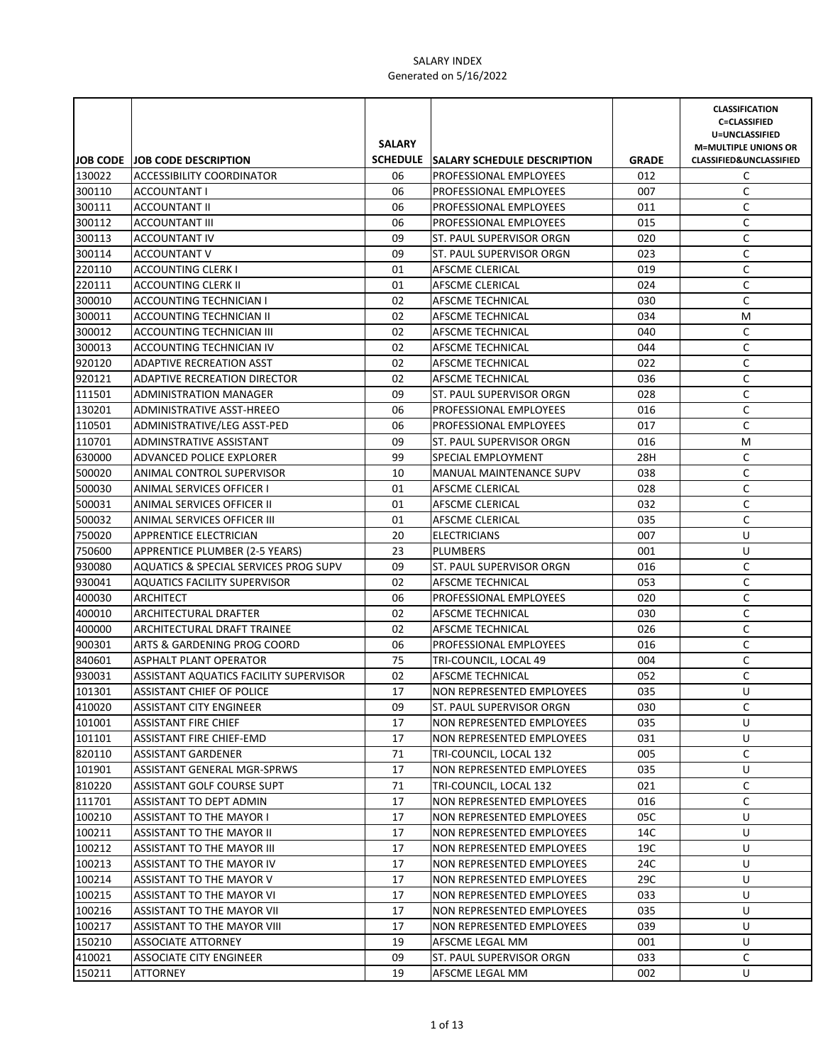|                  | JOB CODE JOB CODE DESCRIPTION                             | <b>SALARY</b> | SCHEDULE SALARY SCHEDULE DESCRIPTION                   | <b>GRADE</b> | <b>CLASSIFICATION</b><br><b>C=CLASSIFIED</b><br>U=UNCLASSIFIED<br><b>M=MULTIPLE UNIONS OR</b><br><b>CLASSIFIED&amp;UNCLASSIFIED</b> |
|------------------|-----------------------------------------------------------|---------------|--------------------------------------------------------|--------------|-------------------------------------------------------------------------------------------------------------------------------------|
| 130022           | ACCESSIBILITY COORDINATOR                                 | 06            | <b>PROFESSIONAL EMPLOYEES</b>                          | 012          | C                                                                                                                                   |
| 300110           | ACCOUNTANT I                                              | 06            | PROFESSIONAL EMPLOYEES                                 | 007          | C                                                                                                                                   |
| 300111           | <b>ACCOUNTANT II</b>                                      | 06            | <b>PROFESSIONAL EMPLOYEES</b>                          | 011          | C                                                                                                                                   |
| 300112           | <b>ACCOUNTANT III</b>                                     | 06            | <b>PROFESSIONAL EMPLOYEES</b>                          | 015          | C                                                                                                                                   |
| 300113           | ACCOUNTANT IV                                             | 09            | ST. PAUL SUPERVISOR ORGN                               | 020          | C                                                                                                                                   |
| 300114           | <b>ACCOUNTANT V</b>                                       | 09            | <b>ST. PAUL SUPERVISOR ORGN</b>                        | 023          | C                                                                                                                                   |
| 220110           | <b>ACCOUNTING CLERK I</b>                                 | 01            | AFSCME CLERICAL                                        | 019          | C                                                                                                                                   |
| 220111           | <b>ACCOUNTING CLERK II</b>                                | 01            | AFSCME CLERICAL                                        | 024          | C                                                                                                                                   |
| 300010           | ACCOUNTING TECHNICIAN I                                   | 02            | AFSCME TECHNICAL                                       | 030          | C                                                                                                                                   |
| 300011           | ACCOUNTING TECHNICIAN II                                  | 02            | AFSCME TECHNICAL                                       | 034          | M                                                                                                                                   |
| 300012           | ACCOUNTING TECHNICIAN III                                 | 02            | AFSCME TECHNICAL                                       | 040          | C                                                                                                                                   |
| 300013           | ACCOUNTING TECHNICIAN IV                                  | 02            | AFSCME TECHNICAL                                       | 044          | C                                                                                                                                   |
| 920120           | <b>ADAPTIVE RECREATION ASST</b>                           | 02            | AFSCME TECHNICAL                                       | 022          | $\mathsf C$                                                                                                                         |
| 920121           | <b>ADAPTIVE RECREATION DIRECTOR</b>                       | 02            | AFSCME TECHNICAL                                       | 036          | $\mathsf C$                                                                                                                         |
| 111501           | ADMINISTRATION MANAGER                                    | 09            | ST. PAUL SUPERVISOR ORGN                               | 028          | $\mathsf C$                                                                                                                         |
| 130201           | ADMINISTRATIVE ASST-HREEO                                 | 06            | PROFESSIONAL EMPLOYEES                                 | 016          | C                                                                                                                                   |
| 110501           | ADMINISTRATIVE/LEG ASST-PED                               | 06            | PROFESSIONAL EMPLOYEES                                 | 017          | C                                                                                                                                   |
| 110701           | ADMINSTRATIVE ASSISTANT                                   | 09            | ST. PAUL SUPERVISOR ORGN                               | 016          | M                                                                                                                                   |
| 630000           | ADVANCED POLICE EXPLORER                                  | 99            | SPECIAL EMPLOYMENT                                     | 28H          | C                                                                                                                                   |
| 500020           | ANIMAL CONTROL SUPERVISOR                                 | 10            | <b>MANUAL MAINTENANCE SUPV</b>                         | 038          | C                                                                                                                                   |
| 500030           | ANIMAL SERVICES OFFICER I                                 | 01            | AFSCME CLERICAL                                        | 028          | C                                                                                                                                   |
| 500031           | ANIMAL SERVICES OFFICER II                                | 01            | AFSCME CLERICAL                                        | 032          | C                                                                                                                                   |
| 500032           | ANIMAL SERVICES OFFICER III                               | 01            | AFSCME CLERICAL                                        | 035          | C                                                                                                                                   |
| 750020           | APPRENTICE ELECTRICIAN                                    | 20            | <b>ELECTRICIANS</b>                                    | 007          | U                                                                                                                                   |
| 750600           | APPRENTICE PLUMBER (2-5 YEARS)                            | 23            | <b>PLUMBERS</b>                                        | 001          | U                                                                                                                                   |
| 930080           | AQUATICS & SPECIAL SERVICES PROG SUPV                     | 09            | <b>ST. PAUL SUPERVISOR ORGN</b>                        | 016          | C                                                                                                                                   |
| 930041           | <b>AQUATICS FACILITY SUPERVISOR</b>                       | 02            | <b>AFSCME TECHNICAL</b>                                | 053          | C                                                                                                                                   |
| 400030           | <b>ARCHITECT</b>                                          | 06            | PROFESSIONAL EMPLOYEES                                 | 020          | C                                                                                                                                   |
| 400010           | ARCHITECTURAL DRAFTER                                     | 02            | AFSCME TECHNICAL                                       | 030          | $\mathsf C$                                                                                                                         |
| 400000           | ARCHITECTURAL DRAFT TRAINEE                               | 02            | AFSCME TECHNICAL                                       | 026          | $\mathsf C$                                                                                                                         |
| 900301           | ARTS & GARDENING PROG COORD                               | 06            | PROFESSIONAL EMPLOYEES                                 | 016          | C                                                                                                                                   |
| 840601           | <b>ASPHALT PLANT OPERATOR</b>                             | 75            | TRI-COUNCIL, LOCAL 49                                  | 004          | $\mathsf C$                                                                                                                         |
| 930031           | ASSISTANT AQUATICS FACILITY SUPERVISOR                    | 02            | <b>AFSCME TECHNICAL</b>                                | 052          | $\mathsf C$                                                                                                                         |
| 101301           | ASSISTANT CHIEF OF POLICE                                 | 17            | NON REPRESENTED EMPLOYEES                              | 035          | U                                                                                                                                   |
| 410020           | <b>ASSISTANT CITY ENGINEER</b>                            | 09            | ST. PAUL SUPERVISOR ORGN                               | 030          | C                                                                                                                                   |
| 101001           | <b>ASSISTANT FIRE CHIEF</b>                               | 17            | NON REPRESENTED EMPLOYEES                              | 035          | U                                                                                                                                   |
| 101101           | ASSISTANT FIRE CHIEF-EMD                                  | 17            | NON REPRESENTED EMPLOYEES                              | 031          | U                                                                                                                                   |
| 820110           | <b>ASSISTANT GARDENER</b>                                 | 71            | TRI-COUNCIL, LOCAL 132                                 | 005          | C                                                                                                                                   |
| 101901           | ASSISTANT GENERAL MGR-SPRWS                               | 17            | NON REPRESENTED EMPLOYEES                              | 035          | U                                                                                                                                   |
| 810220           | ASSISTANT GOLF COURSE SUPT                                | 71            | TRI-COUNCIL, LOCAL 132                                 | 021          | C                                                                                                                                   |
| 111701           | <b>ASSISTANT TO DEPT ADMIN</b>                            | 17            | NON REPRESENTED EMPLOYEES                              | 016          | C                                                                                                                                   |
| 100210           | ASSISTANT TO THE MAYOR I                                  | 17            | NON REPRESENTED EMPLOYEES                              | 05C          | U                                                                                                                                   |
| 100211           | ASSISTANT TO THE MAYOR II                                 | 17            | <b>NON REPRESENTED EMPLOYEES</b>                       | 14C          | U                                                                                                                                   |
| 100212           | ASSISTANT TO THE MAYOR III<br>ASSISTANT TO THE MAYOR IV   | 17            | NON REPRESENTED EMPLOYEES                              | 19C          | U                                                                                                                                   |
| 100213           |                                                           | 17            | NON REPRESENTED EMPLOYEES                              | 24C          | U                                                                                                                                   |
| 100214           | ASSISTANT TO THE MAYOR V                                  | 17            | NON REPRESENTED EMPLOYEES                              | 29C          | U                                                                                                                                   |
| 100215<br>100216 | ASSISTANT TO THE MAYOR VI                                 | 17<br>17      | NON REPRESENTED EMPLOYEES                              | 033<br>035   | U<br>U                                                                                                                              |
| 100217           | ASSISTANT TO THE MAYOR VII<br>ASSISTANT TO THE MAYOR VIII | 17            | NON REPRESENTED EMPLOYEES<br>NON REPRESENTED EMPLOYEES | 039          | U                                                                                                                                   |
| 150210           | ASSOCIATE ATTORNEY                                        | 19            | AFSCME LEGAL MM                                        | 001          | U                                                                                                                                   |
| 410021           | ASSOCIATE CITY ENGINEER                                   | 09            | ST. PAUL SUPERVISOR ORGN                               | 033          | C                                                                                                                                   |
| 150211           | <b>ATTORNEY</b>                                           | 19            | AFSCME LEGAL MM                                        | 002          | U                                                                                                                                   |
|                  |                                                           |               |                                                        |              |                                                                                                                                     |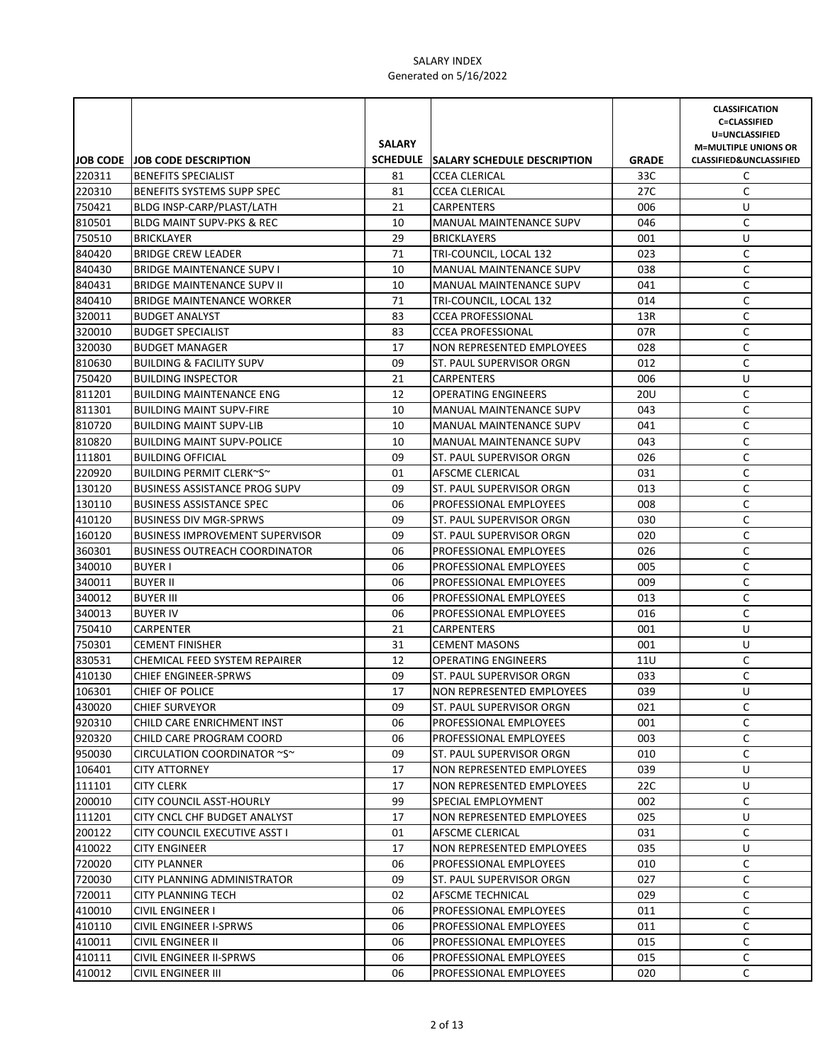|                  |                                                                       | <b>SALARY</b> |                                                              |                     | <b>CLASSIFICATION</b><br><b>C=CLASSIFIED</b><br>U=UNCLASSIFIED<br><b>M=MULTIPLE UNIONS OR</b> |
|------------------|-----------------------------------------------------------------------|---------------|--------------------------------------------------------------|---------------------|-----------------------------------------------------------------------------------------------|
| 220311           | JOB CODE JOB CODE DESCRIPTION                                         | 81            | SCHEDULE SALARY SCHEDULE DESCRIPTION<br><b>CCEA CLERICAL</b> | <b>GRADE</b><br>33C | <b>CLASSIFIED&amp;UNCLASSIFIED</b><br>C                                                       |
|                  | <b>BENEFITS SPECIALIST</b>                                            |               |                                                              |                     |                                                                                               |
| 220310           | BENEFITS SYSTEMS SUPP SPEC                                            | 81            | <b>CCEA CLERICAL</b>                                         | 27C                 | C                                                                                             |
| 750421           | BLDG INSP-CARP/PLAST/LATH                                             | 21            | <b>CARPENTERS</b>                                            | 006                 | U                                                                                             |
| 810501           | <b>BLDG MAINT SUPV-PKS &amp; REC</b>                                  | 10            | <b>MANUAL MAINTENANCE SUPV</b>                               | 046                 | C                                                                                             |
| 750510<br>840420 | <b>BRICKLAYER</b><br><b>BRIDGE CREW LEADER</b>                        | 29            | <b>BRICKLAYERS</b>                                           | 001                 | U                                                                                             |
|                  |                                                                       | 71<br>10      | TRI-COUNCIL, LOCAL 132                                       | 023                 | C<br>C                                                                                        |
| 840430<br>840431 | <b>BRIDGE MAINTENANCE SUPV I</b><br><b>BRIDGE MAINTENANCE SUPV II</b> | 10            | MANUAL MAINTENANCE SUPV<br><b>MANUAL MAINTENANCE SUPV</b>    | 038<br>041          | C                                                                                             |
| 840410           | <b>BRIDGE MAINTENANCE WORKER</b>                                      | 71            | TRI-COUNCIL, LOCAL 132                                       | 014                 | C                                                                                             |
| 320011           | <b>BUDGET ANALYST</b>                                                 | 83            | <b>CCEA PROFESSIONAL</b>                                     | 13R                 | C                                                                                             |
| 320010           | <b>BUDGET SPECIALIST</b>                                              | 83            | <b>CCEA PROFESSIONAL</b>                                     | 07R                 | C                                                                                             |
| 320030           | <b>BUDGET MANAGER</b>                                                 | 17            | NON REPRESENTED EMPLOYEES                                    | 028                 | C                                                                                             |
| 810630           | <b>BUILDING &amp; FACILITY SUPV</b>                                   | 09            | ST. PAUL SUPERVISOR ORGN                                     | 012                 | $\mathsf C$                                                                                   |
| 750420           | <b>BUILDING INSPECTOR</b>                                             | 21            | CARPENTERS                                                   | 006                 | U                                                                                             |
| 811201           | <b>BUILDING MAINTENANCE ENG</b>                                       | 12            | <b>OPERATING ENGINEERS</b>                                   | 20U                 | C                                                                                             |
| 811301           | <b>BUILDING MAINT SUPV-FIRE</b>                                       | 10            | <b>MANUAL MAINTENANCE SUPV</b>                               | 043                 | C                                                                                             |
| 810720           | <b>BUILDING MAINT SUPV-LIB</b>                                        | 10            | <b>MANUAL MAINTENANCE SUPV</b>                               | 041                 | C                                                                                             |
| 810820           | <b>BUILDING MAINT SUPV-POLICE</b>                                     | 10            | <b>MANUAL MAINTENANCE SUPV</b>                               | 043                 | C                                                                                             |
| 111801           | <b>BUILDING OFFICIAL</b>                                              | 09            | ST. PAUL SUPERVISOR ORGN                                     | 026                 | C                                                                                             |
| 220920           | BUILDING PERMIT CLERK~S~                                              | 01            | <b>AFSCME CLERICAL</b>                                       | 031                 | C                                                                                             |
| 130120           | <b>BUSINESS ASSISTANCE PROG SUPV</b>                                  | 09            | ST. PAUL SUPERVISOR ORGN                                     | 013                 | C                                                                                             |
| 130110           | <b>BUSINESS ASSISTANCE SPEC</b>                                       | 06            | PROFESSIONAL EMPLOYEES                                       | 008                 | C                                                                                             |
| 410120           | <b>BUSINESS DIV MGR-SPRWS</b>                                         | 09            | ST. PAUL SUPERVISOR ORGN                                     | 030                 | C                                                                                             |
| 160120           | <b>BUSINESS IMPROVEMENT SUPERVISOR</b>                                | 09            | ST. PAUL SUPERVISOR ORGN                                     | 020                 | C                                                                                             |
| 360301           | <b>BUSINESS OUTREACH COORDINATOR</b>                                  | 06            | <b>PROFESSIONAL EMPLOYEES</b>                                | 026                 | C                                                                                             |
| 340010           | <b>BUYER I</b>                                                        | 06            | PROFESSIONAL EMPLOYEES                                       | 005                 | C                                                                                             |
| 340011           | <b>BUYER II</b>                                                       | 06            | PROFESSIONAL EMPLOYEES                                       | 009                 | C                                                                                             |
| 340012           | <b>BUYER III</b>                                                      | 06            | <b>PROFESSIONAL EMPLOYEES</b>                                | 013                 | C                                                                                             |
| 340013           | <b>BUYER IV</b>                                                       | 06            | PROFESSIONAL EMPLOYEES                                       | 016                 | $\mathsf C$                                                                                   |
| 750410           | <b>CARPENTER</b>                                                      | 21            | CARPENTERS                                                   | 001                 | U                                                                                             |
| 750301           | <b>CEMENT FINISHER</b>                                                | 31            | <b>CEMENT MASONS</b>                                         | 001                 | U                                                                                             |
| 830531           | CHEMICAL FEED SYSTEM REPAIRER                                         | 12            | <b>OPERATING ENGINEERS</b>                                   | 11U                 | C                                                                                             |
| 410130           | <b>CHIEF ENGINEER-SPRWS</b>                                           | 09            | ST. PAUL SUPERVISOR ORGN                                     | 033                 | C                                                                                             |
| 106301           | <b>CHIEF OF POLICE</b>                                                | 17            | NON REPRESENTED EMPLOYEES                                    | 039                 | U                                                                                             |
| 430020           | <b>CHIEF SURVEYOR</b>                                                 | 09            | ST. PAUL SUPERVISOR ORGN                                     | 021                 | С                                                                                             |
| 920310           | CHILD CARE ENRICHMENT INST                                            | 06            | PROFESSIONAL EMPLOYEES                                       | 001                 | C                                                                                             |
| 920320           | CHILD CARE PROGRAM COORD                                              | 06            | <b>PROFESSIONAL EMPLOYEES</b>                                | 003                 | С                                                                                             |
| 950030           | CIRCULATION COORDINATOR ~S~                                           | 09            | ST. PAUL SUPERVISOR ORGN                                     | 010                 | C                                                                                             |
| 106401           | <b>CITY ATTORNEY</b>                                                  | 17            | NON REPRESENTED EMPLOYEES                                    | 039                 | U                                                                                             |
| 111101           | <b>CITY CLERK</b>                                                     | 17            | NON REPRESENTED EMPLOYEES                                    | 22C                 | U                                                                                             |
| 200010           | CITY COUNCIL ASST-HOURLY                                              | 99            | SPECIAL EMPLOYMENT                                           | 002                 | C                                                                                             |
| 111201           | CITY CNCL CHF BUDGET ANALYST                                          | 17            | NON REPRESENTED EMPLOYEES                                    | 025                 | U                                                                                             |
| 200122           | CITY COUNCIL EXECUTIVE ASST I                                         | 01            | AFSCME CLERICAL                                              | 031                 | C                                                                                             |
| 410022           | <b>CITY ENGINEER</b>                                                  | 17            | NON REPRESENTED EMPLOYEES                                    | 035                 | U                                                                                             |
| 720020           | <b>CITY PLANNER</b>                                                   | 06            | PROFESSIONAL EMPLOYEES                                       | 010                 | С                                                                                             |
| 720030           | CITY PLANNING ADMINISTRATOR                                           | 09            | ST. PAUL SUPERVISOR ORGN                                     | 027                 | С                                                                                             |
| 720011           | CITY PLANNING TECH                                                    | 02            | AFSCME TECHNICAL                                             | 029                 | C                                                                                             |
| 410010           | <b>CIVIL ENGINEER I</b>                                               | 06            | PROFESSIONAL EMPLOYEES                                       | 011                 | C                                                                                             |
| 410110           | CIVIL ENGINEER I-SPRWS                                                | 06            | PROFESSIONAL EMPLOYEES                                       | 011                 | C                                                                                             |
| 410011           | <b>CIVIL ENGINEER II</b>                                              | 06            | PROFESSIONAL EMPLOYEES                                       | 015                 | C                                                                                             |
| 410111           | CIVIL ENGINEER II-SPRWS                                               | 06            | PROFESSIONAL EMPLOYEES                                       | 015                 | C                                                                                             |
| 410012           | CIVIL ENGINEER III                                                    | 06            | PROFESSIONAL EMPLOYEES                                       | 020                 | C                                                                                             |
|                  |                                                                       |               |                                                              |                     |                                                                                               |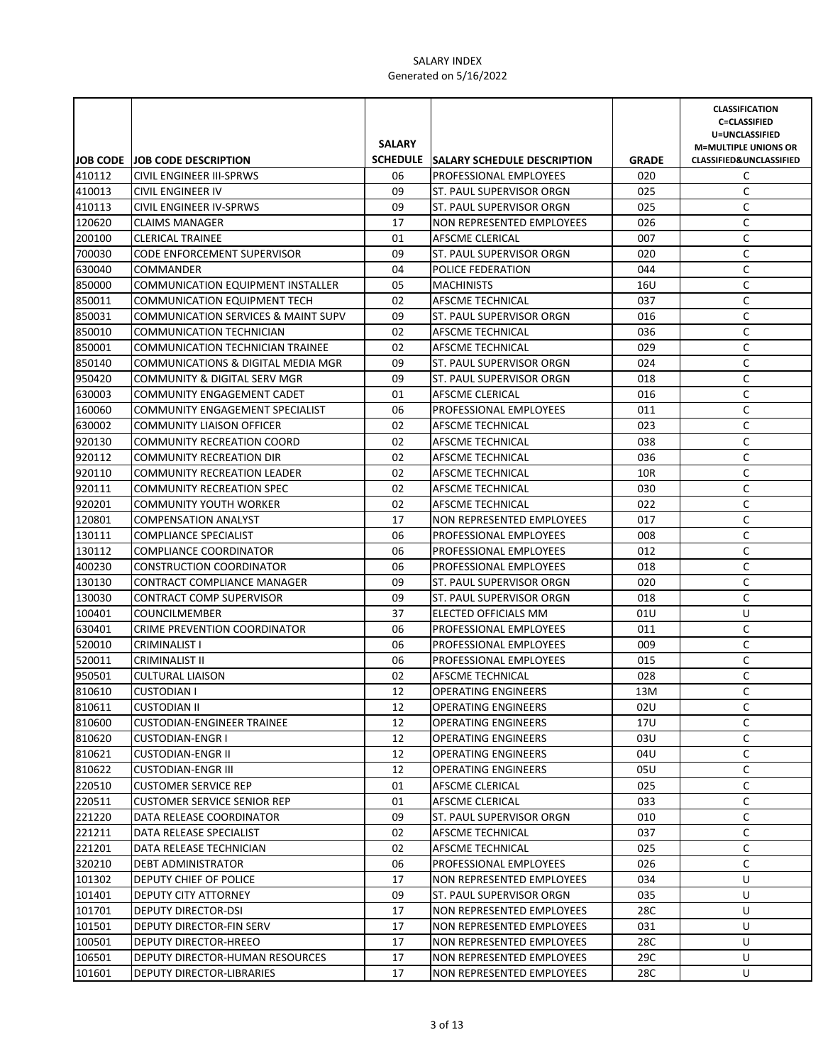|                  |                                                                       | <b>SALARY</b> |                                                |              | <b>CLASSIFICATION</b><br><b>C=CLASSIFIED</b><br>U=UNCLASSIFIED<br><b>M=MULTIPLE UNIONS OR</b> |
|------------------|-----------------------------------------------------------------------|---------------|------------------------------------------------|--------------|-----------------------------------------------------------------------------------------------|
|                  | JOB CODE JOB CODE DESCRIPTION                                         |               | SCHEDULE SALARY SCHEDULE DESCRIPTION           | <b>GRADE</b> | <b>CLASSIFIED&amp;UNCLASSIFIED</b>                                                            |
| 410112           | CIVIL ENGINEER III-SPRWS                                              | 06            | <b>PROFESSIONAL EMPLOYEES</b>                  | 020          | C                                                                                             |
| 410013           | <b>CIVIL ENGINEER IV</b>                                              | 09            | ST. PAUL SUPERVISOR ORGN                       | 025          | C                                                                                             |
| 410113           | CIVIL ENGINEER IV-SPRWS                                               | 09            | ST. PAUL SUPERVISOR ORGN                       | 025          | C                                                                                             |
| 120620           | <b>CLAIMS MANAGER</b>                                                 | 17            | <b>NON REPRESENTED EMPLOYEES</b>               | 026          | C                                                                                             |
| 200100           | <b>CLERICAL TRAINEE</b>                                               | 01            | AFSCME CLERICAL                                | 007          | C                                                                                             |
| 700030           | <b>CODE ENFORCEMENT SUPERVISOR</b>                                    | 09            | <b>ST. PAUL SUPERVISOR ORGN</b>                | 020          | C                                                                                             |
| 630040           | <b>COMMANDER</b>                                                      | 04            | POLICE FEDERATION                              | 044          | C                                                                                             |
| 850000           | <b>COMMUNICATION EQUIPMENT INSTALLER</b>                              | 05            | <b>MACHINISTS</b>                              | 16U          | C                                                                                             |
| 850011           | <b>COMMUNICATION EQUIPMENT TECH</b>                                   | 02            | AFSCME TECHNICAL                               | 037          | C                                                                                             |
| 850031           | COMMUNICATION SERVICES & MAINT SUPV                                   | 09            | ST. PAUL SUPERVISOR ORGN                       | 016          | C                                                                                             |
| 850010           | <b>COMMUNICATION TECHNICIAN</b>                                       | 02            | AFSCME TECHNICAL                               | 036          | C                                                                                             |
| 850001           | COMMUNICATION TECHNICIAN TRAINEE                                      | 02            | AFSCME TECHNICAL                               | 029          | $\mathsf C$                                                                                   |
| 850140           | COMMUNICATIONS & DIGITAL MEDIA MGR                                    | 09            | ST. PAUL SUPERVISOR ORGN                       | 024          | $\mathsf C$                                                                                   |
| 950420           | COMMUNITY & DIGITAL SERV MGR                                          | 09            | ST. PAUL SUPERVISOR ORGN                       | 018          | $\mathsf C$                                                                                   |
| 630003           | COMMUNITY ENGAGEMENT CADET                                            | 01            | AFSCME CLERICAL                                | 016          | C                                                                                             |
| 160060           | COMMUNITY ENGAGEMENT SPECIALIST                                       | 06            | PROFESSIONAL EMPLOYEES                         | 011          | C                                                                                             |
| 630002           | <b>COMMUNITY LIAISON OFFICER</b>                                      | 02            | AFSCME TECHNICAL                               | 023          | C                                                                                             |
| 920130           | <b>COMMUNITY RECREATION COORD</b>                                     | 02            | AFSCME TECHNICAL                               | 038          | C                                                                                             |
| 920112           | <b>COMMUNITY RECREATION DIR</b>                                       | 02            | AFSCME TECHNICAL                               | 036          | C                                                                                             |
| 920110           | <b>COMMUNITY RECREATION LEADER</b>                                    | 02            | AFSCME TECHNICAL                               | 10R          | C                                                                                             |
| 920111           | <b>COMMUNITY RECREATION SPEC</b>                                      | 02            | AFSCME TECHNICAL                               | 030          | C                                                                                             |
| 920201           | <b>COMMUNITY YOUTH WORKER</b>                                         | 02            | AFSCME TECHNICAL                               | 022          | C                                                                                             |
| 120801           | <b>COMPENSATION ANALYST</b>                                           | 17            | <b>NON REPRESENTED EMPLOYEES</b>               | 017          | C                                                                                             |
| 130111           | <b>COMPLIANCE SPECIALIST</b>                                          | 06            | <b>PROFESSIONAL EMPLOYEES</b>                  | 008          | C                                                                                             |
| 130112           | <b>COMPLIANCE COORDINATOR</b>                                         | 06            | <b>PROFESSIONAL EMPLOYEES</b>                  | 012          | C                                                                                             |
| 400230           | <b>CONSTRUCTION COORDINATOR</b>                                       | 06            | PROFESSIONAL EMPLOYEES                         | 018          | C                                                                                             |
| 130130           | <b>CONTRACT COMPLIANCE MANAGER</b><br><b>CONTRACT COMP SUPERVISOR</b> | 09<br>09      | ST. PAUL SUPERVISOR ORGN                       | 020          | C<br>$\mathsf C$                                                                              |
| 130030           |                                                                       | 37            | ST. PAUL SUPERVISOR ORGN                       | 018          | U                                                                                             |
| 100401<br>630401 | <b>COUNCILMEMBER</b><br>CRIME PREVENTION COORDINATOR                  | 06            | ELECTED OFFICIALS MM<br>PROFESSIONAL EMPLOYEES | 01U<br>011   | C                                                                                             |
| 520010           |                                                                       | 06            | PROFESSIONAL EMPLOYEES                         | 009          | $\mathsf C$                                                                                   |
| 520011           | CRIMINALIST I<br><b>CRIMINALIST II</b>                                | 06            | PROFESSIONAL EMPLOYEES                         | 015          | C                                                                                             |
| 950501           | <b>CULTURAL LIAISON</b>                                               | 02            | <b>AFSCME TECHNICAL</b>                        | 028          | C                                                                                             |
| 810610           | <b>CUSTODIAN I</b>                                                    | 12            | <b>OPERATING ENGINEERS</b>                     | 13M          | C                                                                                             |
| 810611           | <b>CUSTODIAN II</b>                                                   | 12            | <b>OPERATING ENGINEERS</b>                     | 02U          | C                                                                                             |
| 810600           | <b>CUSTODIAN-ENGINEER TRAINEE</b>                                     | 12            | <b>OPERATING ENGINEERS</b>                     | 17U          | C                                                                                             |
| 810620           | <b>CUSTODIAN-ENGR I</b>                                               | 12            | <b>OPERATING ENGINEERS</b>                     | 03U          | C                                                                                             |
| 810621           | <b>CUSTODIAN-ENGR II</b>                                              | 12            | <b>OPERATING ENGINEERS</b>                     | 04U          | С                                                                                             |
| 810622           | <b>CUSTODIAN-ENGR III</b>                                             | 12            | <b>OPERATING ENGINEERS</b>                     | 05U          | C                                                                                             |
| 220510           | <b>CUSTOMER SERVICE REP</b>                                           | 01            | AFSCME CLERICAL                                | 025          | C                                                                                             |
| 220511           | <b>CUSTOMER SERVICE SENIOR REP</b>                                    | 01            | <b>AFSCME CLERICAL</b>                         | 033          | C                                                                                             |
| 221220           | DATA RELEASE COORDINATOR                                              | 09            | ST. PAUL SUPERVISOR ORGN                       | 010          | С                                                                                             |
| 221211           | DATA RELEASE SPECIALIST                                               | 02            | AFSCME TECHNICAL                               | 037          | С                                                                                             |
| 221201           | DATA RELEASE TECHNICIAN                                               | 02            | AFSCME TECHNICAL                               | 025          | С                                                                                             |
| 320210           | DEBT ADMINISTRATOR                                                    | 06            | PROFESSIONAL EMPLOYEES                         | 026          | C                                                                                             |
| 101302           | DEPUTY CHIEF OF POLICE                                                | 17            | NON REPRESENTED EMPLOYEES                      | 034          | U                                                                                             |
| 101401           | DEPUTY CITY ATTORNEY                                                  | 09            | ST. PAUL SUPERVISOR ORGN                       | 035          | U                                                                                             |
| 101701           | DEPUTY DIRECTOR-DSI                                                   | 17            | NON REPRESENTED EMPLOYEES                      | 28C          | U                                                                                             |
| 101501           | DEPUTY DIRECTOR-FIN SERV                                              | 17            | NON REPRESENTED EMPLOYEES                      | 031          | U                                                                                             |
| 100501           | DEPUTY DIRECTOR-HREEO                                                 | 17            | NON REPRESENTED EMPLOYEES                      | 28C          | U                                                                                             |
| 106501           | DEPUTY DIRECTOR-HUMAN RESOURCES                                       | 17            | NON REPRESENTED EMPLOYEES                      | 29C          | U                                                                                             |
| 101601           | DEPUTY DIRECTOR-LIBRARIES                                             | 17            | NON REPRESENTED EMPLOYEES                      | 28C          | U                                                                                             |
|                  |                                                                       |               |                                                |              |                                                                                               |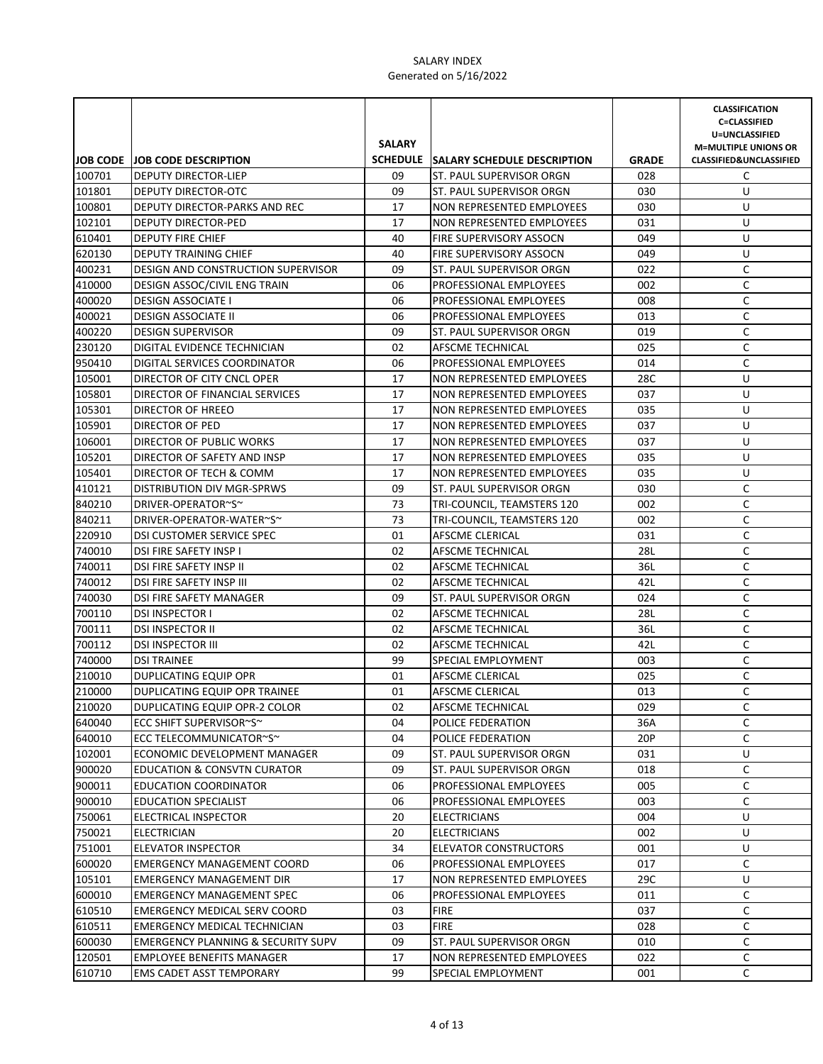|                  |                                                        |               |                                                    |              | <b>CLASSIFICATION</b><br><b>C=CLASSIFIED</b> |
|------------------|--------------------------------------------------------|---------------|----------------------------------------------------|--------------|----------------------------------------------|
|                  |                                                        |               |                                                    |              | U=UNCLASSIFIED                               |
|                  |                                                        | <b>SALARY</b> |                                                    |              | <b>M=MULTIPLE UNIONS OR</b>                  |
|                  | <b>JOB CODE JOB CODE DESCRIPTION</b>                   |               | SCHEDULE SALARY SCHEDULE DESCRIPTION               | <b>GRADE</b> | <b>CLASSIFIED&amp;UNCLASSIFIED</b>           |
| 100701           | DEPUTY DIRECTOR-LIEP                                   | 09            | ST. PAUL SUPERVISOR ORGN                           | 028          | C                                            |
| 101801           | DEPUTY DIRECTOR-OTC                                    | 09            | ST. PAUL SUPERVISOR ORGN                           | 030          | U                                            |
| 100801           | DEPUTY DIRECTOR-PARKS AND REC                          | 17            | NON REPRESENTED EMPLOYEES                          | 030          | U                                            |
| 102101           | <b>DEPUTY DIRECTOR-PED</b>                             | 17            | <b>NON REPRESENTED EMPLOYEES</b>                   | 031          | U                                            |
| 610401           | <b>DEPUTY FIRE CHIEF</b>                               | 40            | <b>FIRE SUPERVISORY ASSOCN</b>                     | 049          | U                                            |
| 620130           | <b>DEPUTY TRAINING CHIEF</b>                           | 40            | FIRE SUPERVISORY ASSOCN                            | 049          | U                                            |
| 400231           | DESIGN AND CONSTRUCTION SUPERVISOR                     | 09            | ST. PAUL SUPERVISOR ORGN                           | 022          | C                                            |
| 410000           | DESIGN ASSOC/CIVIL ENG TRAIN                           | 06<br>06      | PROFESSIONAL EMPLOYEES                             | 002          | C<br>C                                       |
| 400020<br>400021 | <b>DESIGN ASSOCIATE I</b>                              | 06            | PROFESSIONAL EMPLOYEES                             | 008          | С                                            |
| 400220           | <b>DESIGN ASSOCIATE II</b><br><b>DESIGN SUPERVISOR</b> | 09            | PROFESSIONAL EMPLOYEES<br>ST. PAUL SUPERVISOR ORGN | 013<br>019   | С                                            |
| 230120           | DIGITAL EVIDENCE TECHNICIAN                            | 02            | AFSCME TECHNICAL                                   | 025          | C                                            |
| 950410           | DIGITAL SERVICES COORDINATOR                           | 06            | PROFESSIONAL EMPLOYEES                             | 014          | $\mathsf C$                                  |
| 105001           | DIRECTOR OF CITY CNCL OPER                             | 17            | NON REPRESENTED EMPLOYEES                          | 28C          | U                                            |
| 105801           | DIRECTOR OF FINANCIAL SERVICES                         | 17            | NON REPRESENTED EMPLOYEES                          | 037          | U                                            |
| 105301           | DIRECTOR OF HREEO                                      | 17            | NON REPRESENTED EMPLOYEES                          | 035          | U                                            |
| 105901           | DIRECTOR OF PED                                        | 17            | NON REPRESENTED EMPLOYEES                          | 037          | U                                            |
| 106001           | DIRECTOR OF PUBLIC WORKS                               | 17            | NON REPRESENTED EMPLOYEES                          | 037          | U                                            |
| 105201           | DIRECTOR OF SAFETY AND INSP                            | 17            | NON REPRESENTED EMPLOYEES                          | 035          | U                                            |
| 105401           | DIRECTOR OF TECH & COMM                                | 17            | NON REPRESENTED EMPLOYEES                          | 035          | U                                            |
| 410121           | DISTRIBUTION DIV MGR-SPRWS                             | 09            | ST. PAUL SUPERVISOR ORGN                           | 030          | C                                            |
| 840210           | DRIVER-OPERATOR~S~                                     | 73            | TRI-COUNCIL, TEAMSTERS 120                         | 002          | C                                            |
| 840211           | DRIVER-OPERATOR-WATER~S~                               | 73            | TRI-COUNCIL, TEAMSTERS 120                         | 002          | C                                            |
| 220910           | DSI CUSTOMER SERVICE SPEC                              | 01            | AFSCME CLERICAL                                    | 031          | C                                            |
| 740010           | DSI FIRE SAFETY INSP I                                 | 02            | AFSCME TECHNICAL                                   | 28L          | С                                            |
| 740011           | DSI FIRE SAFETY INSP II                                | 02            | AFSCME TECHNICAL                                   | 36L          | С                                            |
| 740012           | DSI FIRE SAFETY INSP III                               | 02            | AFSCME TECHNICAL                                   | 42L          | С                                            |
| 740030           | DSI FIRE SAFETY MANAGER                                | 09            | ST. PAUL SUPERVISOR ORGN                           | 024          | С                                            |
| 700110           | <b>DSI INSPECTOR I</b>                                 | 02            | AFSCME TECHNICAL                                   | 28L          | C                                            |
| 700111           | <b>DSI INSPECTOR II</b>                                | 02            | AFSCME TECHNICAL                                   | 36L          | C                                            |
| 700112           | <b>DSI INSPECTOR III</b>                               | 02            | AFSCME TECHNICAL                                   | 42L          | C                                            |
| 740000           | <b>DSI TRAINEE</b>                                     | 99            | SPECIAL EMPLOYMENT                                 | 003          | $\mathsf C$                                  |
| 210010           | DUPLICATING EQUIP OPR                                  | 01            | AFSCME CLERICAL                                    | 025          | C                                            |
| 210000           | DUPLICATING EQUIP OPR TRAINEE                          | 01            | <b>AFSCME CLERICAL</b>                             | 013          | C                                            |
| 210020           | DUPLICATING EQUIP OPR-2 COLOR                          | 02            | AFSCME TECHNICAL                                   | 029          | С                                            |
| 640040           | ECC SHIFT SUPERVISOR~S~                                | 04            | POLICE FEDERATION                                  | 36A          | C                                            |
| 640010           | ECC TELECOMMUNICATOR~S~                                | 04            | POLICE FEDERATION                                  | 20P          | C                                            |
| 102001           | ECONOMIC DEVELOPMENT MANAGER                           | 09            | ST. PAUL SUPERVISOR ORGN                           | 031          | U                                            |
| 900020           | EDUCATION & CONSVTN CURATOR                            | 09            | ST. PAUL SUPERVISOR ORGN                           | 018          | С                                            |
| 900011           | <b>EDUCATION COORDINATOR</b>                           | 06            | PROFESSIONAL EMPLOYEES                             | 005          | С                                            |
| 900010           | <b>EDUCATION SPECIALIST</b>                            | 06            | PROFESSIONAL EMPLOYEES                             | 003          | C                                            |
| 750061           | ELECTRICAL INSPECTOR                                   | 20            | <b>ELECTRICIANS</b>                                | 004          | U                                            |
| 750021           | <b>ELECTRICIAN</b>                                     | 20            | <b>ELECTRICIANS</b>                                | 002          | U                                            |
| 751001           | <b>ELEVATOR INSPECTOR</b>                              | 34            | <b>ELEVATOR CONSTRUCTORS</b>                       | 001          | U                                            |
| 600020           | <b>EMERGENCY MANAGEMENT COORD</b>                      | 06            | PROFESSIONAL EMPLOYEES                             | 017          | C                                            |
| 105101           | <b>EMERGENCY MANAGEMENT DIR</b>                        | 17            | NON REPRESENTED EMPLOYEES                          | 29C          | U                                            |
| 600010           | <b>EMERGENCY MANAGEMENT SPEC</b>                       | 06            | PROFESSIONAL EMPLOYEES                             | 011          | С                                            |
| 610510           | <b>EMERGENCY MEDICAL SERV COORD</b>                    | 03            | <b>FIRE</b>                                        | 037          | С                                            |
| 610511           | <b>EMERGENCY MEDICAL TECHNICIAN</b>                    | 03            | <b>FIRE</b>                                        | 028          | C                                            |
| 600030           | <b>EMERGENCY PLANNING &amp; SECURITY SUPV</b>          | 09            | ST. PAUL SUPERVISOR ORGN                           | 010          | С                                            |
| 120501           | <b>EMPLOYEE BENEFITS MANAGER</b>                       | 17            | NON REPRESENTED EMPLOYEES                          | 022          | C                                            |
| 610710           | EMS CADET ASST TEMPORARY                               | 99            | SPECIAL EMPLOYMENT                                 | 001          | C                                            |
|                  |                                                        |               |                                                    |              |                                              |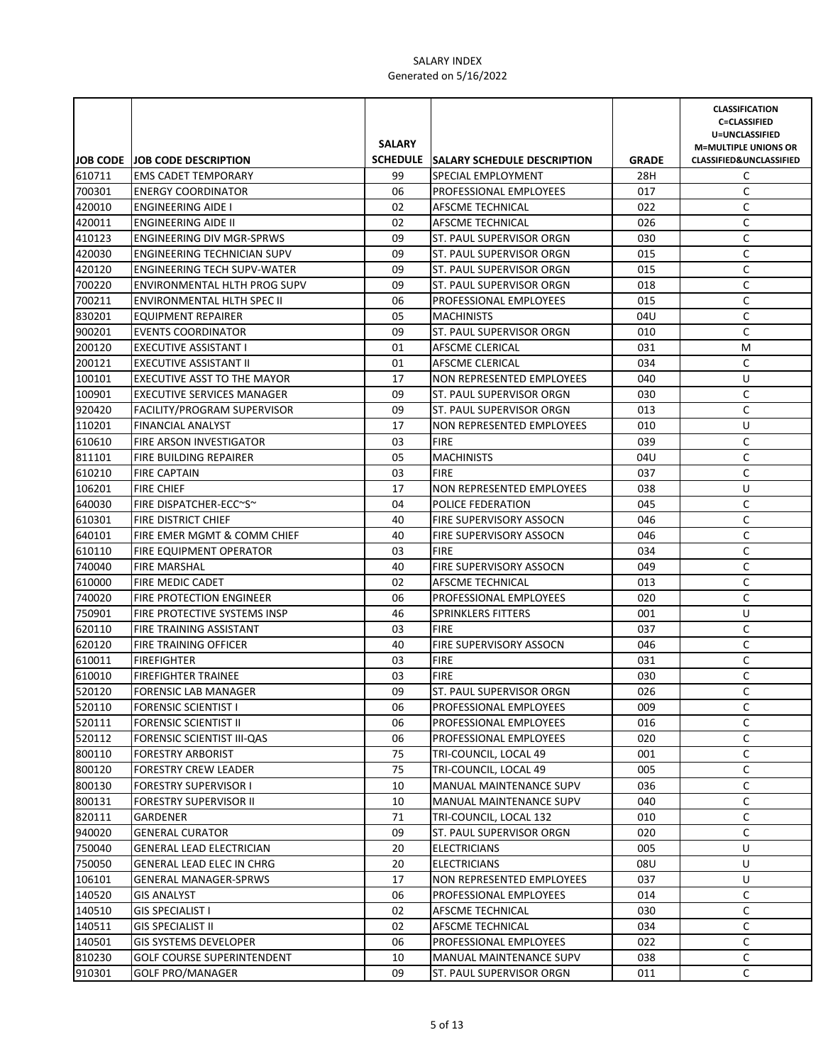|                  |                                                                    |               |                                                             |              | <b>CLASSIFICATION</b><br><b>C=CLASSIFIED</b> |
|------------------|--------------------------------------------------------------------|---------------|-------------------------------------------------------------|--------------|----------------------------------------------|
|                  |                                                                    |               |                                                             |              | U=UNCLASSIFIED                               |
|                  |                                                                    | <b>SALARY</b> |                                                             |              | <b>M=MULTIPLE UNIONS OR</b>                  |
|                  | <b>JOB CODE JOB CODE DESCRIPTION</b>                               |               | SCHEDULE SALARY SCHEDULE DESCRIPTION                        | <b>GRADE</b> | <b>CLASSIFIED&amp;UNCLASSIFIED</b>           |
| 610711           | <b>EMS CADET TEMPORARY</b>                                         | 99            | SPECIAL EMPLOYMENT                                          | 28H          | C                                            |
| 700301           | <b>ENERGY COORDINATOR</b>                                          | 06            | PROFESSIONAL EMPLOYEES                                      | 017          | C                                            |
| 420010           | <b>ENGINEERING AIDE I</b>                                          | 02            | AFSCME TECHNICAL                                            | 022          | C                                            |
| 420011           | <b>ENGINEERING AIDE II</b>                                         | 02            | AFSCME TECHNICAL                                            | 026          | C                                            |
| 410123           | <b>ENGINEERING DIV MGR-SPRWS</b>                                   | 09            | <b>ST. PAUL SUPERVISOR ORGN</b>                             | 030          | C                                            |
| 420030           | ENGINEERING TECHNICIAN SUPV                                        | 09            | ST. PAUL SUPERVISOR ORGN                                    | 015          | C                                            |
| 420120<br>700220 | <b>ENGINEERING TECH SUPV-WATER</b><br>ENVIRONMENTAL HLTH PROG SUPV | 09            | ST. PAUL SUPERVISOR ORGN<br><b>ST. PAUL SUPERVISOR ORGN</b> | 015          | C                                            |
|                  |                                                                    | 09<br>06      |                                                             | 018          | C<br>C                                       |
| 700211<br>830201 | <b>ENVIRONMENTAL HLTH SPEC II</b>                                  | 05            | PROFESSIONAL EMPLOYEES<br><b>MACHINISTS</b>                 | 015<br>04U   | С                                            |
| 900201           | EQUIPMENT REPAIRER<br><b>EVENTS COORDINATOR</b>                    | 09            | ST. PAUL SUPERVISOR ORGN                                    | 010          | C                                            |
| 200120           | EXECUTIVE ASSISTANT I                                              | 01            | AFSCME CLERICAL                                             | 031          | M                                            |
| 200121           | <b>EXECUTIVE ASSISTANT II</b>                                      | 01            | AFSCME CLERICAL                                             | 034          | C                                            |
| 100101           | EXECUTIVE ASST TO THE MAYOR                                        | 17            | NON REPRESENTED EMPLOYEES                                   | 040          | U                                            |
| 100901           | <b>EXECUTIVE SERVICES MANAGER</b>                                  | 09            | ST. PAUL SUPERVISOR ORGN                                    | 030          | C                                            |
| 920420           | <b>FACILITY/PROGRAM SUPERVISOR</b>                                 | 09            | ST. PAUL SUPERVISOR ORGN                                    | 013          | $\mathsf C$                                  |
| 110201           | <b>FINANCIAL ANALYST</b>                                           | 17            | NON REPRESENTED EMPLOYEES                                   | 010          | U                                            |
| 610610           | <b>FIRE ARSON INVESTIGATOR</b>                                     | 03            | <b>FIRE</b>                                                 | 039          | С                                            |
| 811101           | FIRE BUILDING REPAIRER                                             | 05            | <b>MACHINISTS</b>                                           | 04U          | C                                            |
| 610210           | <b>FIRE CAPTAIN</b>                                                | 03            | <b>FIRE</b>                                                 | 037          | C                                            |
| 106201           | <b>FIRE CHIEF</b>                                                  | 17            | <b>NON REPRESENTED EMPLOYEES</b>                            | 038          | U                                            |
| 640030           | FIRE DISPATCHER-ECC~S~                                             | 04            | POLICE FEDERATION                                           | 045          | C                                            |
| 610301           | <b>FIRE DISTRICT CHIEF</b>                                         | 40            | <b>FIRE SUPERVISORY ASSOCN</b>                              | 046          | C                                            |
| 640101           | FIRE EMER MGMT & COMM CHIEF                                        | 40            | <b>FIRE SUPERVISORY ASSOCN</b>                              | 046          | C                                            |
| 610110           | FIRE EQUIPMENT OPERATOR                                            | 03            | <b>FIRE</b>                                                 | 034          | С                                            |
| 740040           | <b>FIRE MARSHAL</b>                                                | 40            | <b>FIRE SUPERVISORY ASSOCN</b>                              | 049          | С                                            |
| 610000           | FIRE MEDIC CADET                                                   | 02            | <b>AFSCME TECHNICAL</b>                                     | 013          | С                                            |
| 740020           | FIRE PROTECTION ENGINEER                                           | 06            | <b>PROFESSIONAL EMPLOYEES</b>                               | 020          | С                                            |
| 750901           | FIRE PROTECTIVE SYSTEMS INSP                                       | 46            | <b>SPRINKLERS FITTERS</b>                                   | 001          | U                                            |
| 620110           | FIRE TRAINING ASSISTANT                                            | 03            | <b>FIRE</b>                                                 | 037          | C                                            |
| 620120           | <b>FIRE TRAINING OFFICER</b>                                       | 40            | <b>FIRE SUPERVISORY ASSOCN</b>                              | 046          | C                                            |
| 610011           | <b>FIREFIGHTER</b>                                                 | 03            | <b>FIRE</b>                                                 | 031          | $\mathsf C$                                  |
| 610010           | <b>FIREFIGHTER TRAINEE</b>                                         | 03            | <b>FIRE</b>                                                 | 030          | C                                            |
| 520120           | <b>FORENSIC LAB MANAGER</b>                                        | 09            | ST. PAUL SUPERVISOR ORGN                                    | 026          | C                                            |
| 520110           | <b>FORENSIC SCIENTIST I</b>                                        | 06            | PROFESSIONAL EMPLOYEES                                      | 009          | С                                            |
| 520111           | <b>FORENSIC SCIENTIST II</b>                                       | 06            | PROFESSIONAL EMPLOYEES                                      | 016          | C                                            |
| 520112           | FORENSIC SCIENTIST III-QAS                                         | 06            | PROFESSIONAL EMPLOYEES                                      | 020          | С                                            |
| 800110           | <b>FORESTRY ARBORIST</b>                                           | 75            | TRI-COUNCIL, LOCAL 49                                       | 001          | С                                            |
| 800120           | <b>FORESTRY CREW LEADER</b>                                        | 75            | TRI-COUNCIL, LOCAL 49                                       | 005          | С                                            |
| 800130           | <b>FORESTRY SUPERVISOR I</b>                                       | 10            | MANUAL MAINTENANCE SUPV                                     | 036          | С                                            |
| 800131           | <b>FORESTRY SUPERVISOR II</b>                                      | 10            | MANUAL MAINTENANCE SUPV                                     | 040          | C                                            |
| 820111           | GARDENER                                                           | 71            | TRI-COUNCIL, LOCAL 132                                      | 010          | С                                            |
| 940020           | <b>GENERAL CURATOR</b>                                             | 09            | ST. PAUL SUPERVISOR ORGN                                    | 020          | С                                            |
| 750040           | <b>GENERAL LEAD ELECTRICIAN</b>                                    | 20            | <b>ELECTRICIANS</b>                                         | 005          | U                                            |
| 750050           | GENERAL LEAD ELEC IN CHRG                                          | 20            | <b>ELECTRICIANS</b>                                         | 08U          | U                                            |
| 106101           | <b>GENERAL MANAGER-SPRWS</b>                                       | 17            | NON REPRESENTED EMPLOYEES                                   | 037          | U                                            |
| 140520           | GIS ANALYST                                                        | 06            | PROFESSIONAL EMPLOYEES                                      | 014          | С                                            |
| 140510           | <b>GIS SPECIALIST I</b>                                            | 02            | AFSCME TECHNICAL                                            | 030          | С                                            |
| 140511           | <b>GIS SPECIALIST II</b>                                           | 02            | AFSCME TECHNICAL                                            | 034          | C                                            |
| 140501           | <b>GIS SYSTEMS DEVELOPER</b>                                       | 06            | PROFESSIONAL EMPLOYEES                                      | 022          | С                                            |
| 810230           | <b>GOLF COURSE SUPERINTENDENT</b>                                  | 10            | MANUAL MAINTENANCE SUPV                                     | 038          | C                                            |
| 910301           | <b>GOLF PRO/MANAGER</b>                                            | 09            | ST. PAUL SUPERVISOR ORGN                                    | 011          | C                                            |
|                  |                                                                    |               |                                                             |              |                                              |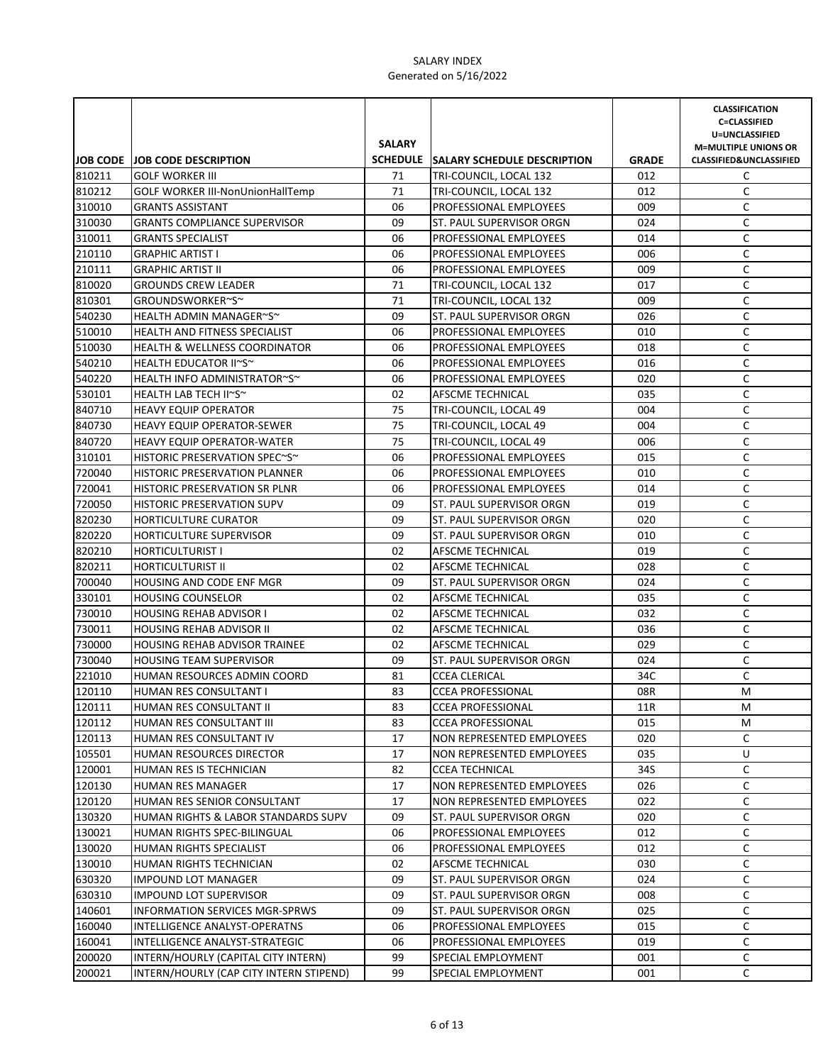|        |                                          | <b>SALARY</b> |                                      |              | <b>CLASSIFICATION</b><br><b>C=CLASSIFIED</b><br>U=UNCLASSIFIED<br><b>M=MULTIPLE UNIONS OR</b> |
|--------|------------------------------------------|---------------|--------------------------------------|--------------|-----------------------------------------------------------------------------------------------|
|        | JOB CODE JOB CODE DESCRIPTION            |               | SCHEDULE SALARY SCHEDULE DESCRIPTION | <b>GRADE</b> | CLASSIFIED&UNCLASSIFIED                                                                       |
| 810211 | <b>GOLF WORKER III</b>                   | 71            | TRI-COUNCIL, LOCAL 132               | 012          | C                                                                                             |
| 810212 | <b>GOLF WORKER III-NonUnionHallTemp</b>  | 71            | TRI-COUNCIL, LOCAL 132               | 012          | C                                                                                             |
| 310010 | <b>GRANTS ASSISTANT</b>                  | 06            | PROFESSIONAL EMPLOYEES               | 009          | C                                                                                             |
| 310030 | <b>GRANTS COMPLIANCE SUPERVISOR</b>      | 09            | ST. PAUL SUPERVISOR ORGN             | 024          | C                                                                                             |
| 310011 | <b>GRANTS SPECIALIST</b>                 | 06            | <b>PROFESSIONAL EMPLOYEES</b>        | 014          | C                                                                                             |
| 210110 | <b>GRAPHIC ARTIST I</b>                  | 06            | PROFESSIONAL EMPLOYEES               | 006          | C                                                                                             |
| 210111 | <b>GRAPHIC ARTIST II</b>                 | 06            | PROFESSIONAL EMPLOYEES               | 009          | C                                                                                             |
| 810020 | <b>GROUNDS CREW LEADER</b>               | 71            | TRI-COUNCIL, LOCAL 132               | 017          | C                                                                                             |
| 810301 | GROUNDSWORKER~S~                         | 71            | TRI-COUNCIL, LOCAL 132               | 009          | C                                                                                             |
| 540230 | HEALTH ADMIN MANAGER~S~                  | 09            | ST. PAUL SUPERVISOR ORGN             | 026          | C                                                                                             |
| 510010 | HEALTH AND FITNESS SPECIALIST            | 06            | PROFESSIONAL EMPLOYEES               | 010          | $\mathsf C$                                                                                   |
| 510030 | <b>HEALTH &amp; WELLNESS COORDINATOR</b> | 06            | PROFESSIONAL EMPLOYEES               | 018          | C                                                                                             |
| 540210 | HEALTH EDUCATOR II~S~                    | 06            | PROFESSIONAL EMPLOYEES               | 016          | $\mathsf C$                                                                                   |
| 540220 | HEALTH INFO ADMINISTRATOR~S~             | 06            | PROFESSIONAL EMPLOYEES               | 020          | $\mathsf C$                                                                                   |
| 530101 | HEALTH LAB TECH II~S~                    | 02            | AFSCME TECHNICAL                     | 035          | $\mathsf C$                                                                                   |
| 840710 | <b>HEAVY EQUIP OPERATOR</b>              | 75            | TRI-COUNCIL, LOCAL 49                | 004          | C                                                                                             |
| 840730 | <b>HEAVY EQUIP OPERATOR-SEWER</b>        | 75            | TRI-COUNCIL, LOCAL 49                | 004          | $\mathsf C$                                                                                   |
| 840720 | <b>HEAVY EQUIP OPERATOR-WATER</b>        | 75            | TRI-COUNCIL, LOCAL 49                | 006          | C                                                                                             |
| 310101 | HISTORIC PRESERVATION SPEC~S~            | 06            | PROFESSIONAL EMPLOYEES               | 015          | C                                                                                             |
| 720040 | <b>HISTORIC PRESERVATION PLANNER</b>     | 06            | <b>PROFESSIONAL EMPLOYEES</b>        | 010          | C                                                                                             |
| 720041 | HISTORIC PRESERVATION SR PLNR            | 06            | <b>PROFESSIONAL EMPLOYEES</b>        | 014          | C                                                                                             |
| 720050 | <b>HISTORIC PRESERVATION SUPV</b>        | 09            | ST. PAUL SUPERVISOR ORGN             | 019          | C                                                                                             |
| 820230 | <b>HORTICULTURE CURATOR</b>              | 09            | ST. PAUL SUPERVISOR ORGN             | 020          | C                                                                                             |
| 820220 | HORTICULTURE SUPERVISOR                  | 09            | ST. PAUL SUPERVISOR ORGN             | 010          | C                                                                                             |
| 820210 | <b>HORTICULTURIST I</b>                  | 02            | AFSCME TECHNICAL                     | 019          | C                                                                                             |
| 820211 | <b>HORTICULTURIST II</b>                 | 02            | AFSCME TECHNICAL                     | 028          | C                                                                                             |
| 700040 | HOUSING AND CODE ENF MGR                 | 09            | ST. PAUL SUPERVISOR ORGN             | 024          | C                                                                                             |
| 330101 | <b>HOUSING COUNSELOR</b>                 | 02            | AFSCME TECHNICAL                     | 035          | C                                                                                             |
| 730010 | <b>HOUSING REHAB ADVISOR I</b>           | 02            | AFSCME TECHNICAL                     | 032          | $\mathsf C$                                                                                   |
| 730011 | <b>HOUSING REHAB ADVISOR II</b>          | 02            | AFSCME TECHNICAL                     | 036          | $\mathsf C$                                                                                   |
| 730000 | HOUSING REHAB ADVISOR TRAINEE            | 02            | AFSCME TECHNICAL                     | 029          | C                                                                                             |
| 730040 | <b>HOUSING TEAM SUPERVISOR</b>           | 09            | ST. PAUL SUPERVISOR ORGN             | 024          | $\mathsf C$                                                                                   |
| 221010 | HUMAN RESOURCES ADMIN COORD              | 81            | <b>CCEA CLERICAL</b>                 | 34C          | $\mathsf C$                                                                                   |
| 120110 | HUMAN RES CONSULTANT I                   | 83            | <b>CCEA PROFESSIONAL</b>             | 08R          | M                                                                                             |
| 120111 | HUMAN RES CONSULTANT II                  | 83            | <b>CCEA PROFESSIONAL</b>             | 11R          | M                                                                                             |
| 120112 | HUMAN RES CONSULTANT III                 | 83            | <b>CCEA PROFESSIONAL</b>             | 015          | М                                                                                             |
| 120113 | HUMAN RES CONSULTANT IV                  | 17            | NON REPRESENTED EMPLOYEES            | 020          | C                                                                                             |
| 105501 | HUMAN RESOURCES DIRECTOR                 | 17            | NON REPRESENTED EMPLOYEES            | 035          | U                                                                                             |
| 120001 | HUMAN RES IS TECHNICIAN                  | 82            | <b>CCEA TECHNICAL</b>                | 34S          | C                                                                                             |
| 120130 | HUMAN RES MANAGER                        | 17            | NON REPRESENTED EMPLOYEES            | 026          | C                                                                                             |
| 120120 | HUMAN RES SENIOR CONSULTANT              | 17            | <b>NON REPRESENTED EMPLOYEES</b>     | 022          | C                                                                                             |
| 130320 | HUMAN RIGHTS & LABOR STANDARDS SUPV      | 09            | ST. PAUL SUPERVISOR ORGN             | 020          | C                                                                                             |
| 130021 | HUMAN RIGHTS SPEC-BILINGUAL              | 06            | PROFESSIONAL EMPLOYEES               | 012          | C                                                                                             |
| 130020 | HUMAN RIGHTS SPECIALIST                  | 06            | PROFESSIONAL EMPLOYEES               | 012          | C                                                                                             |
| 130010 | HUMAN RIGHTS TECHNICIAN                  | 02            | AFSCME TECHNICAL                     | 030          | С                                                                                             |
| 630320 | <b>IMPOUND LOT MANAGER</b>               | 09            | ST. PAUL SUPERVISOR ORGN             | 024          | С                                                                                             |
| 630310 | <b>IMPOUND LOT SUPERVISOR</b>            | 09            | ST. PAUL SUPERVISOR ORGN             | 008          | C                                                                                             |
| 140601 | INFORMATION SERVICES MGR-SPRWS           | 09            | ST. PAUL SUPERVISOR ORGN             | 025          | C                                                                                             |
| 160040 | INTELLIGENCE ANALYST-OPERATNS            | 06            | PROFESSIONAL EMPLOYEES               | 015          | C                                                                                             |
| 160041 | INTELLIGENCE ANALYST-STRATEGIC           | 06            | PROFESSIONAL EMPLOYEES               | 019          | C                                                                                             |
| 200020 | INTERN/HOURLY (CAPITAL CITY INTERN)      | 99            | SPECIAL EMPLOYMENT                   | 001          | C                                                                                             |
| 200021 | INTERN/HOURLY (CAP CITY INTERN STIPEND)  | 99            | SPECIAL EMPLOYMENT                   | 001          | C                                                                                             |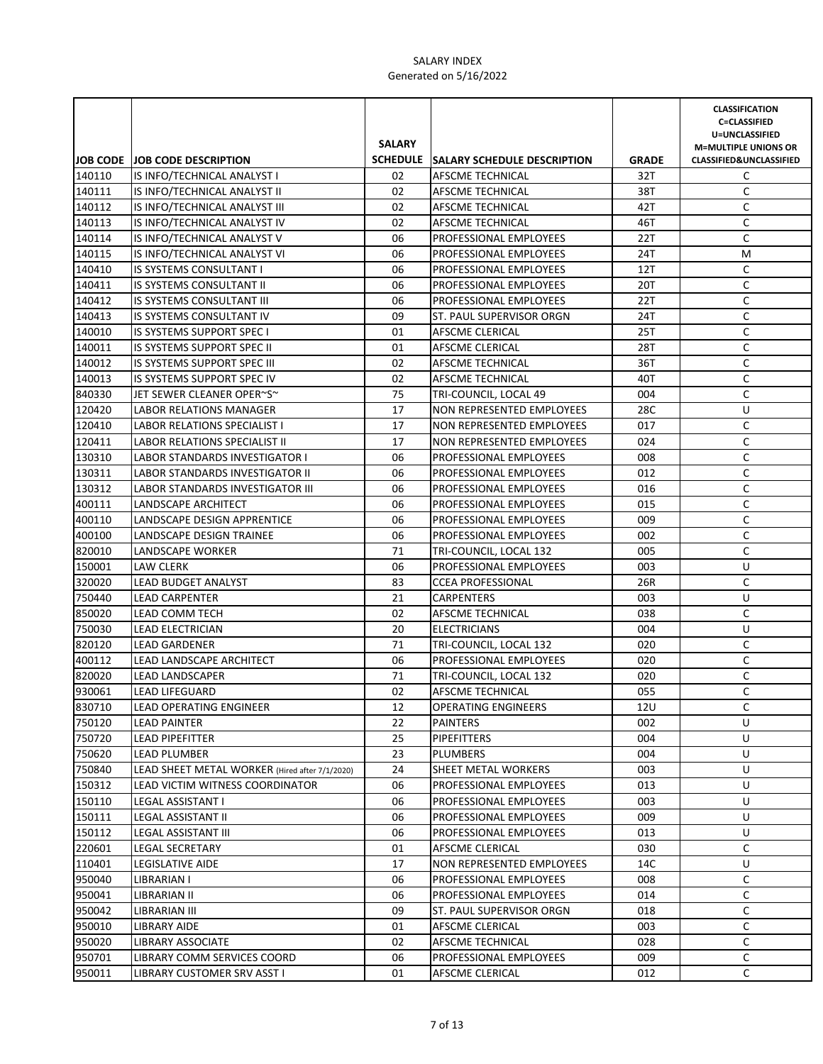|        |                                                | <b>SALARY</b> |                                      |              | <b>CLASSIFICATION</b><br><b>C=CLASSIFIED</b><br>U=UNCLASSIFIED<br><b>M=MULTIPLE UNIONS OR</b> |
|--------|------------------------------------------------|---------------|--------------------------------------|--------------|-----------------------------------------------------------------------------------------------|
|        | <b>JOB CODE JOB CODE DESCRIPTION</b>           |               | SCHEDULE SALARY SCHEDULE DESCRIPTION | <b>GRADE</b> | <b>CLASSIFIED&amp;UNCLASSIFIED</b>                                                            |
| 140110 | IS INFO/TECHNICAL ANALYST I                    | 02            | <b>AFSCME TECHNICAL</b>              | 32T          | C                                                                                             |
| 140111 | IS INFO/TECHNICAL ANALYST II                   | 02            | AFSCME TECHNICAL                     | 38T          | C                                                                                             |
| 140112 | IS INFO/TECHNICAL ANALYST III                  | 02            | AFSCME TECHNICAL                     | 42T          | C                                                                                             |
| 140113 | IS INFO/TECHNICAL ANALYST IV                   | 02            | AFSCME TECHNICAL                     | 46T          | C                                                                                             |
| 140114 | IS INFO/TECHNICAL ANALYST V                    | 06            | <b>PROFESSIONAL EMPLOYEES</b>        | 22T          | C                                                                                             |
| 140115 | IS INFO/TECHNICAL ANALYST VI                   | 06            | PROFESSIONAL EMPLOYEES               | 24T          | М                                                                                             |
| 140410 | <b>IS SYSTEMS CONSULTANT I</b>                 | 06            | PROFESSIONAL EMPLOYEES               | 12T          | C                                                                                             |
| 140411 | IS SYSTEMS CONSULTANT II                       | 06            | PROFESSIONAL EMPLOYEES               | 20T          | C                                                                                             |
| 140412 | IS SYSTEMS CONSULTANT III                      | 06            | <b>PROFESSIONAL EMPLOYEES</b>        | 22T          | C                                                                                             |
| 140413 | IS SYSTEMS CONSULTANT IV                       | 09            | ST. PAUL SUPERVISOR ORGN             | 24T          | C                                                                                             |
| 140010 | IS SYSTEMS SUPPORT SPEC I                      | 01            | AFSCME CLERICAL                      | 25T          | C                                                                                             |
| 140011 | IS SYSTEMS SUPPORT SPEC II                     | 01            | AFSCME CLERICAL                      | 28T          | C                                                                                             |
| 140012 | IS SYSTEMS SUPPORT SPEC III                    | 02            | AFSCME TECHNICAL                     | 36T          | $\mathsf C$                                                                                   |
| 140013 | IS SYSTEMS SUPPORT SPEC IV                     | 02            | AFSCME TECHNICAL                     | 40T          | $\mathsf C$                                                                                   |
| 840330 | JET SEWER CLEANER OPER~S~                      | 75            | TRI-COUNCIL, LOCAL 49                | 004          | $\mathsf C$                                                                                   |
| 120420 | LABOR RELATIONS MANAGER                        | 17            | NON REPRESENTED EMPLOYEES            | 28C          | U                                                                                             |
| 120410 | LABOR RELATIONS SPECIALIST I                   | 17            | NON REPRESENTED EMPLOYEES            | 017          | C                                                                                             |
| 120411 | LABOR RELATIONS SPECIALIST II                  | 17            | NON REPRESENTED EMPLOYEES            | 024          | C                                                                                             |
| 130310 | <b>LABOR STANDARDS INVESTIGATOR I</b>          | 06            | <b>PROFESSIONAL EMPLOYEES</b>        | 008          | C                                                                                             |
| 130311 | <b>LABOR STANDARDS INVESTIGATOR II</b>         | 06            | <b>PROFESSIONAL EMPLOYEES</b>        | 012          | C                                                                                             |
| 130312 | LABOR STANDARDS INVESTIGATOR III               | 06            | <b>PROFESSIONAL EMPLOYEES</b>        | 016          | C                                                                                             |
| 400111 | LANDSCAPE ARCHITECT                            | 06            | PROFESSIONAL EMPLOYEES               | 015          | C                                                                                             |
| 400110 | LANDSCAPE DESIGN APPRENTICE                    | 06            | <b>PROFESSIONAL EMPLOYEES</b>        | 009          | C                                                                                             |
| 400100 | LANDSCAPE DESIGN TRAINEE                       | 06            | PROFESSIONAL EMPLOYEES               | 002          | C                                                                                             |
| 820010 | LANDSCAPE WORKER                               | 71            | TRI-COUNCIL, LOCAL 132               | 005          | C                                                                                             |
| 150001 | <b>LAW CLERK</b>                               | 06            | PROFESSIONAL EMPLOYEES               | 003          | U                                                                                             |
| 320020 | <b>LEAD BUDGET ANALYST</b>                     | 83            | <b>CCEA PROFESSIONAL</b>             | 26R          | C                                                                                             |
| 750440 | <b>LEAD CARPENTER</b>                          | 21            | <b>CARPENTERS</b>                    | 003          | U                                                                                             |
| 850020 | LEAD COMM TECH                                 | 02            | AFSCME TECHNICAL                     | 038          | C                                                                                             |
| 750030 | LEAD ELECTRICIAN                               | 20            | <b>ELECTRICIANS</b>                  | 004          | U                                                                                             |
| 820120 | <b>LEAD GARDENER</b>                           | 71            | TRI-COUNCIL, LOCAL 132               | 020          | C                                                                                             |
| 400112 | <b>LEAD LANDSCAPE ARCHITECT</b>                | 06            | PROFESSIONAL EMPLOYEES               | 020          | $\mathsf C$                                                                                   |
| 820020 | <b>LEAD LANDSCAPER</b>                         | 71            | TRI-COUNCIL, LOCAL 132               | 020          | C                                                                                             |
| 930061 | <b>LEAD LIFEGUARD</b>                          | 02            | AFSCME TECHNICAL                     | 055          | C                                                                                             |
| 830710 | <b>LEAD OPERATING ENGINEER</b>                 | 12            | <b>OPERATING ENGINEERS</b>           | 12U          | С                                                                                             |
| 750120 | <b>LEAD PAINTER</b>                            | 22            | <b>PAINTERS</b>                      | 002          | U                                                                                             |
| 750720 | <b>LEAD PIPEFITTER</b>                         | 25            | <b>PIPEFITTERS</b>                   | 004          | U                                                                                             |
| 750620 | LEAD PLUMBER                                   | 23            | <b>PLUMBERS</b>                      | 004          | U                                                                                             |
| 750840 | LEAD SHEET METAL WORKER (Hired after 7/1/2020) | 24            | SHEET METAL WORKERS                  | 003          | U                                                                                             |
| 150312 | LEAD VICTIM WITNESS COORDINATOR                | 06            | PROFESSIONAL EMPLOYEES               | 013          | U                                                                                             |
| 150110 | <b>LEGAL ASSISTANT I</b>                       | 06            | PROFESSIONAL EMPLOYEES               | 003          | U                                                                                             |
| 150111 | <b>LEGAL ASSISTANT II</b>                      | 06            | PROFESSIONAL EMPLOYEES               | 009          | U                                                                                             |
| 150112 | LEGAL ASSISTANT III                            | 06            | PROFESSIONAL EMPLOYEES               | 013          | U                                                                                             |
| 220601 | <b>LEGAL SECRETARY</b>                         | 01            | <b>AFSCME CLERICAL</b>               | 030          | C                                                                                             |
| 110401 | <b>LEGISLATIVE AIDE</b>                        | 17            | NON REPRESENTED EMPLOYEES            | 14C          | U                                                                                             |
| 950040 | LIBRARIAN I                                    | 06            | PROFESSIONAL EMPLOYEES               | 008          | С                                                                                             |
| 950041 | LIBRARIAN II                                   | 06            | PROFESSIONAL EMPLOYEES               | 014          | C                                                                                             |
| 950042 | LIBRARIAN III                                  | 09            | ST. PAUL SUPERVISOR ORGN             | 018          | C                                                                                             |
| 950010 | LIBRARY AIDE                                   | 01            | AFSCME CLERICAL                      | 003          | C                                                                                             |
| 950020 | LIBRARY ASSOCIATE                              | 02            | AFSCME TECHNICAL                     | 028          | C                                                                                             |
| 950701 | LIBRARY COMM SERVICES COORD                    | 06            | PROFESSIONAL EMPLOYEES               | 009          | C                                                                                             |
| 950011 | LIBRARY CUSTOMER SRV ASST I                    | 01            | AFSCME CLERICAL                      | 012          | C                                                                                             |
|        |                                                |               |                                      |              |                                                                                               |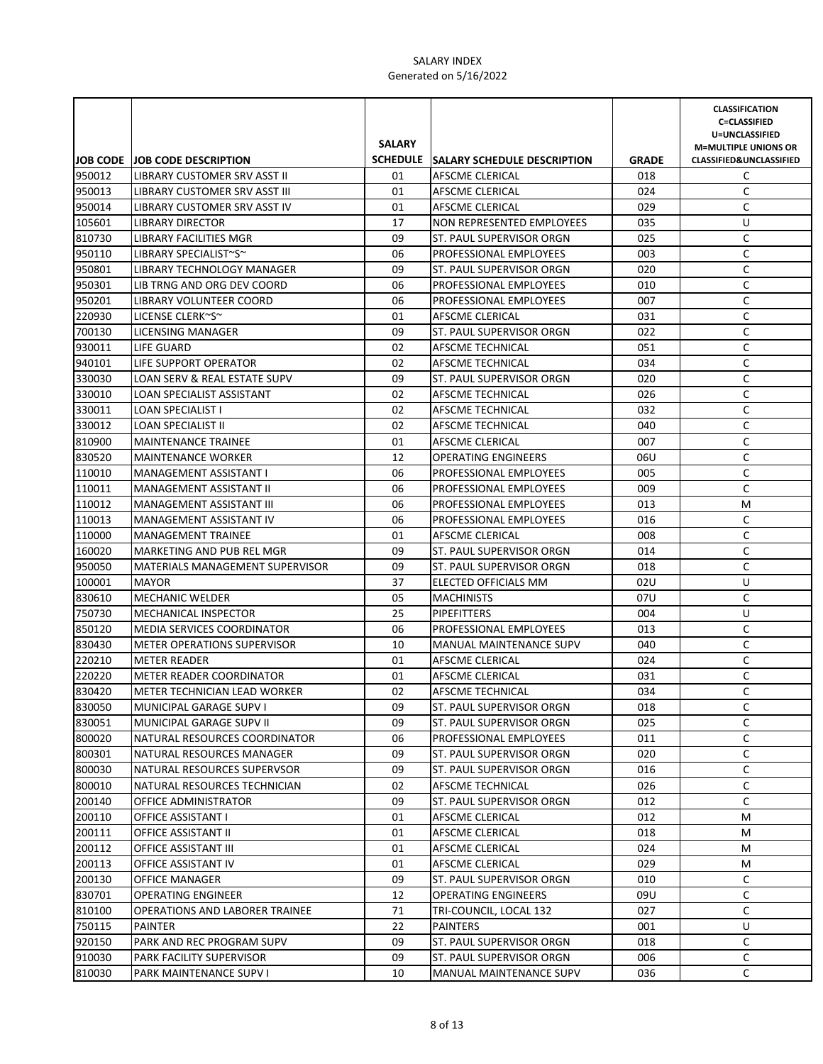|        |                                        | <b>SALARY</b> |                                      |              | <b>CLASSIFICATION</b><br><b>C=CLASSIFIED</b><br>U=UNCLASSIFIED<br><b>M=MULTIPLE UNIONS OR</b> |
|--------|----------------------------------------|---------------|--------------------------------------|--------------|-----------------------------------------------------------------------------------------------|
|        | <b>JOB CODE JOB CODE DESCRIPTION</b>   |               | SCHEDULE SALARY SCHEDULE DESCRIPTION | <b>GRADE</b> | <b>CLASSIFIED&amp;UNCLASSIFIED</b>                                                            |
| 950012 | LIBRARY CUSTOMER SRV ASST II           | 01            | AFSCME CLERICAL                      | 018          | C                                                                                             |
| 950013 | LIBRARY CUSTOMER SRV ASST III          | 01            | AFSCME CLERICAL                      | 024          | C                                                                                             |
| 950014 | LIBRARY CUSTOMER SRV ASST IV           | 01            | AFSCME CLERICAL                      | 029          | C                                                                                             |
| 105601 | <b>LIBRARY DIRECTOR</b>                | 17            | NON REPRESENTED EMPLOYEES            | 035          | U                                                                                             |
| 810730 | LIBRARY FACILITIES MGR                 | 09            | ST. PAUL SUPERVISOR ORGN             | 025          | C                                                                                             |
| 950110 | LIBRARY SPECIALIST~S~                  | 06            | PROFESSIONAL EMPLOYEES               | 003          | C                                                                                             |
| 950801 | LIBRARY TECHNOLOGY MANAGER             | 09            | ST. PAUL SUPERVISOR ORGN             | 020          | C                                                                                             |
| 950301 | LIB TRNG AND ORG DEV COORD             | 06            | PROFESSIONAL EMPLOYEES               | 010          | C                                                                                             |
| 950201 | LIBRARY VOLUNTEER COORD                | 06            | PROFESSIONAL EMPLOYEES               | 007          | C                                                                                             |
| 220930 | LICENSE CLERK~S~                       | 01            | AFSCME CLERICAL                      | 031          | C                                                                                             |
| 700130 | LICENSING MANAGER                      | 09            | ST. PAUL SUPERVISOR ORGN             | 022          | $\mathsf C$                                                                                   |
| 930011 | LIFE GUARD                             | 02            | AFSCME TECHNICAL                     | 051          | $\mathsf C$                                                                                   |
| 940101 | LIFE SUPPORT OPERATOR                  | 02            | AFSCME TECHNICAL                     | 034          | C                                                                                             |
| 330030 | LOAN SERV & REAL ESTATE SUPV           | 09            | ST. PAUL SUPERVISOR ORGN             | 020          | $\mathsf C$                                                                                   |
| 330010 | LOAN SPECIALIST ASSISTANT              | 02            | AFSCME TECHNICAL                     | 026          | $\mathsf C$                                                                                   |
| 330011 | LOAN SPECIALIST I                      | 02            | AFSCME TECHNICAL                     | 032          | C                                                                                             |
| 330012 | LOAN SPECIALIST II                     | 02            | AFSCME TECHNICAL                     | 040          | C                                                                                             |
| 810900 | <b>MAINTENANCE TRAINEE</b>             | 01            | <b>AFSCME CLERICAL</b>               | 007          | C                                                                                             |
| 830520 | <b>MAINTENANCE WORKER</b>              | 12            | <b>OPERATING ENGINEERS</b>           | 06U          | C                                                                                             |
| 110010 | <b>MANAGEMENT ASSISTANT I</b>          | 06            | PROFESSIONAL EMPLOYEES               | 005          | C                                                                                             |
| 110011 | MANAGEMENT ASSISTANT II                | 06            | PROFESSIONAL EMPLOYEES               | 009          | C                                                                                             |
| 110012 | <b>MANAGEMENT ASSISTANT III</b>        | 06            | PROFESSIONAL EMPLOYEES               | 013          | М                                                                                             |
| 110013 | <b>MANAGEMENT ASSISTANT IV</b>         | 06            | <b>PROFESSIONAL EMPLOYEES</b>        | 016          | C                                                                                             |
| 110000 | <b>MANAGEMENT TRAINEE</b>              | 01            | AFSCME CLERICAL                      | 008          | C                                                                                             |
| 160020 | MARKETING AND PUB REL MGR              | 09            | ST. PAUL SUPERVISOR ORGN             | 014          | C                                                                                             |
| 950050 | <b>MATERIALS MANAGEMENT SUPERVISOR</b> | 09            | ST. PAUL SUPERVISOR ORGN             | 018          | C                                                                                             |
| 100001 | <b>MAYOR</b>                           | 37            | ELECTED OFFICIALS MM                 | 02U          | U                                                                                             |
| 830610 | <b>MECHANIC WELDER</b>                 | 05            | <b>MACHINISTS</b>                    | 07U          | C                                                                                             |
| 750730 | MECHANICAL INSPECTOR                   | 25            | <b>PIPEFITTERS</b>                   | 004          | U                                                                                             |
| 850120 | MEDIA SERVICES COORDINATOR             | 06            | PROFESSIONAL EMPLOYEES               | 013          | C                                                                                             |
| 830430 | <b>METER OPERATIONS SUPERVISOR</b>     | 10            | MANUAL MAINTENANCE SUPV              | 040          | $\mathsf C$                                                                                   |
| 220210 | <b>METER READER</b>                    | 01            | AFSCME CLERICAL                      | 024          | C                                                                                             |
| 220220 | <b>METER READER COORDINATOR</b>        | 01            | <b>AFSCME CLERICAL</b>               | 031          | C                                                                                             |
| 830420 | METER TECHNICIAN LEAD WORKER           | 02            | <b>AFSCME TECHNICAL</b>              | 034          | C                                                                                             |
| 830050 | MUNICIPAL GARAGE SUPV I                | 09            | ST. PAUL SUPERVISOR ORGN             | 018          | C                                                                                             |
| 830051 | MUNICIPAL GARAGE SUPV II               | 09            | ST. PAUL SUPERVISOR ORGN             | 025          | C                                                                                             |
| 800020 | NATURAL RESOURCES COORDINATOR          | 06            | PROFESSIONAL EMPLOYEES               | 011          | C                                                                                             |
| 800301 | NATURAL RESOURCES MANAGER              | 09            | ST. PAUL SUPERVISOR ORGN             | 020          | C                                                                                             |
| 800030 | NATURAL RESOURCES SUPERVSOR            | 09            | ST. PAUL SUPERVISOR ORGN             | 016          | C                                                                                             |
| 800010 | NATURAL RESOURCES TECHNICIAN           | 02            | AFSCME TECHNICAL                     | 026          | C                                                                                             |
| 200140 | OFFICE ADMINISTRATOR                   | 09            | ST. PAUL SUPERVISOR ORGN             | 012          | C                                                                                             |
| 200110 | OFFICE ASSISTANT I                     | 01            | AFSCME CLERICAL                      | 012          | М                                                                                             |
| 200111 | OFFICE ASSISTANT II                    | 01            | AFSCME CLERICAL                      | 018          | M                                                                                             |
| 200112 | OFFICE ASSISTANT III                   | 01            | AFSCME CLERICAL                      | 024          | M                                                                                             |
| 200113 | OFFICE ASSISTANT IV                    | 01            | AFSCME CLERICAL                      | 029          | M                                                                                             |
| 200130 | OFFICE MANAGER                         | 09            | ST. PAUL SUPERVISOR ORGN             | 010          | C                                                                                             |
| 830701 | OPERATING ENGINEER                     | 12            | OPERATING ENGINEERS                  | 09U          | C                                                                                             |
| 810100 | OPERATIONS AND LABORER TRAINEE         | 71            | TRI-COUNCIL, LOCAL 132               | 027          | C                                                                                             |
| 750115 | PAINTER                                | 22            | PAINTERS                             | 001          | U                                                                                             |
| 920150 | PARK AND REC PROGRAM SUPV              | 09            | ST. PAUL SUPERVISOR ORGN             | 018          | C                                                                                             |
| 910030 | PARK FACILITY SUPERVISOR               | 09            | ST. PAUL SUPERVISOR ORGN             | 006          | С                                                                                             |
| 810030 | PARK MAINTENANCE SUPV I                | 10            | MANUAL MAINTENANCE SUPV              | 036          | C                                                                                             |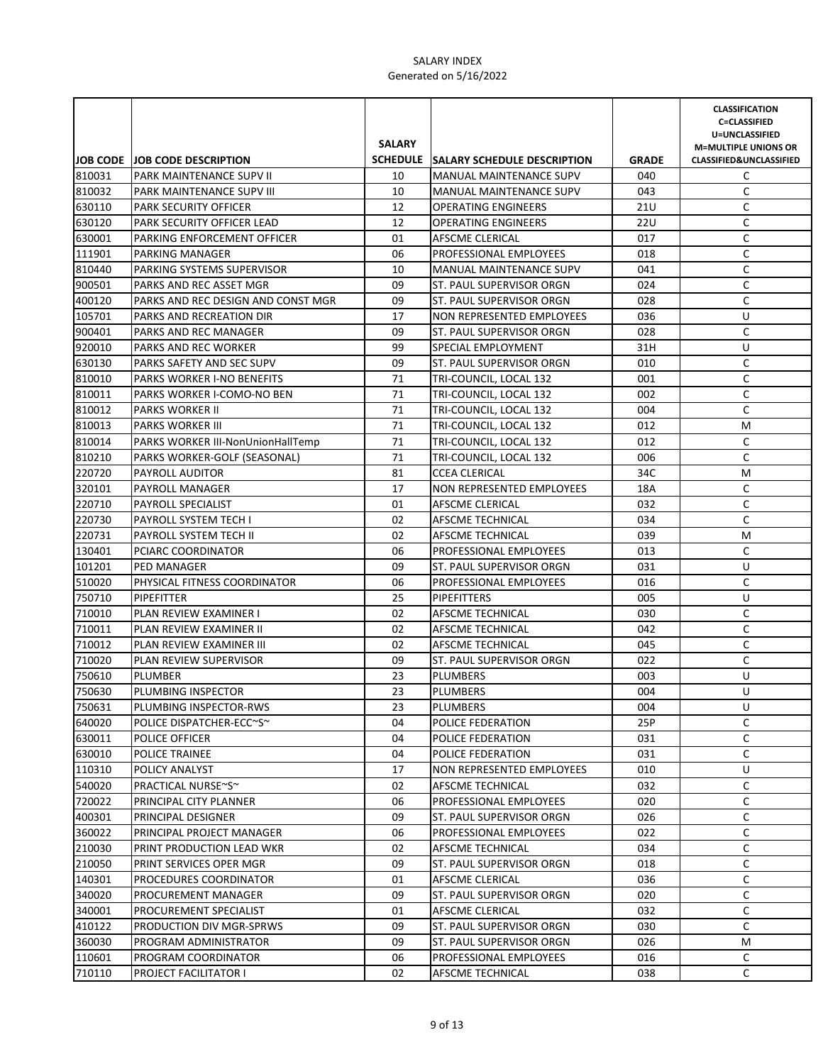|        |                                          | <b>SALARY</b> |                                      |              | <b>CLASSIFICATION</b><br><b>C=CLASSIFIED</b><br>U=UNCLASSIFIED<br><b>M=MULTIPLE UNIONS OR</b> |
|--------|------------------------------------------|---------------|--------------------------------------|--------------|-----------------------------------------------------------------------------------------------|
|        | <b>JOB CODE JOB CODE DESCRIPTION</b>     |               | SCHEDULE SALARY SCHEDULE DESCRIPTION | <b>GRADE</b> | <b>CLASSIFIED&amp;UNCLASSIFIED</b>                                                            |
| 810031 | <b>PARK MAINTENANCE SUPV II</b>          | 10            | <b>MANUAL MAINTENANCE SUPV</b>       | 040          | C                                                                                             |
| 810032 | <b>PARK MAINTENANCE SUPV III</b>         | 10            | <b>MANUAL MAINTENANCE SUPV</b>       | 043          | C                                                                                             |
| 630110 | <b>PARK SECURITY OFFICER</b>             | 12            | <b>OPERATING ENGINEERS</b>           | <b>21U</b>   | C                                                                                             |
| 630120 | PARK SECURITY OFFICER LEAD               | 12            | <b>OPERATING ENGINEERS</b>           | 22U          | C                                                                                             |
| 630001 | PARKING ENFORCEMENT OFFICER              | 01            | AFSCME CLERICAL                      | 017          | C                                                                                             |
| 111901 | PARKING MANAGER                          | 06            | PROFESSIONAL EMPLOYEES               | 018          | C                                                                                             |
| 810440 | PARKING SYSTEMS SUPERVISOR               | 10            | MANUAL MAINTENANCE SUPV              | 041          | C                                                                                             |
| 900501 | PARKS AND REC ASSET MGR                  | 09            | ST. PAUL SUPERVISOR ORGN             | 024          | C                                                                                             |
| 400120 | PARKS AND REC DESIGN AND CONST MGR       | 09            | ST. PAUL SUPERVISOR ORGN             | 028          | C                                                                                             |
| 105701 | PARKS AND RECREATION DIR                 | 17            | NON REPRESENTED EMPLOYEES            | 036          | U                                                                                             |
| 900401 | PARKS AND REC MANAGER                    | 09            | ST. PAUL SUPERVISOR ORGN             | 028          | C                                                                                             |
| 920010 | PARKS AND REC WORKER                     | 99            | SPECIAL EMPLOYMENT                   | 31H          | U                                                                                             |
| 630130 | PARKS SAFETY AND SEC SUPV                | 09            | ST. PAUL SUPERVISOR ORGN             | 010          | $\mathsf C$                                                                                   |
| 810010 | <b>PARKS WORKER I-NO BENEFITS</b>        | 71            | TRI-COUNCIL, LOCAL 132               | 001          | $\mathsf C$                                                                                   |
| 810011 | PARKS WORKER I-COMO-NO BEN               | 71            | TRI-COUNCIL, LOCAL 132               | 002          | C                                                                                             |
| 810012 | <b>PARKS WORKER II</b>                   | 71            | TRI-COUNCIL, LOCAL 132               | 004          | $\mathsf C$                                                                                   |
| 810013 | <b>PARKS WORKER III</b>                  | 71            | TRI-COUNCIL, LOCAL 132               | 012          | M                                                                                             |
| 810014 | <b>PARKS WORKER III-NonUnionHallTemp</b> | 71            | TRI-COUNCIL, LOCAL 132               | 012          | C                                                                                             |
| 810210 | PARKS WORKER-GOLF (SEASONAL)             | 71            | TRI-COUNCIL, LOCAL 132               | 006          | C                                                                                             |
| 220720 | PAYROLL AUDITOR                          | 81            | <b>CCEA CLERICAL</b>                 | 34C          | M                                                                                             |
| 320101 | PAYROLL MANAGER                          | 17            | NON REPRESENTED EMPLOYEES            | 18A          | C                                                                                             |
| 220710 | PAYROLL SPECIALIST                       | 01            | AFSCME CLERICAL                      | 032          | C                                                                                             |
| 220730 | PAYROLL SYSTEM TECH I                    | 02            | AFSCME TECHNICAL                     | 034          | C                                                                                             |
| 220731 | PAYROLL SYSTEM TECH II                   | 02            | AFSCME TECHNICAL                     | 039          | M                                                                                             |
| 130401 | PCIARC COORDINATOR                       | 06            | PROFESSIONAL EMPLOYEES               | 013          | C                                                                                             |
| 101201 | <b>PED MANAGER</b>                       | 09            | ST. PAUL SUPERVISOR ORGN             | 031          | U                                                                                             |
| 510020 | PHYSICAL FITNESS COORDINATOR             | 06            | PROFESSIONAL EMPLOYEES               | 016          | С                                                                                             |
| 750710 | <b>PIPEFITTER</b>                        | 25            | <b>PIPEFITTERS</b>                   | 005          | U                                                                                             |
| 710010 | PLAN REVIEW EXAMINER I                   | 02            | AFSCME TECHNICAL                     | 030          | $\mathsf C$                                                                                   |
| 710011 | PLAN REVIEW EXAMINER II                  | 02            | AFSCME TECHNICAL                     | 042          | $\mathsf C$                                                                                   |
| 710012 | PLAN REVIEW EXAMINER III                 | 02            | AFSCME TECHNICAL                     | 045          | $\mathsf C$                                                                                   |
| 710020 | PLAN REVIEW SUPERVISOR                   | 09            | ST. PAUL SUPERVISOR ORGN             | 022          | C                                                                                             |
| 750610 | PLUMBER                                  | 23            | <b>PLUMBERS</b>                      | 003          | U                                                                                             |
| 750630 | PLUMBING INSPECTOR                       | 23            | <b>PLUMBERS</b>                      | 004          | U                                                                                             |
| 750631 | PLUMBING INSPECTOR-RWS                   | 23            | PLUMBERS                             | 004          | U                                                                                             |
| 640020 | POLICE DISPATCHER-ECC~S~                 | 04            | POLICE FEDERATION                    | 25P          | C                                                                                             |
| 630011 | POLICE OFFICER                           | 04            | POLICE FEDERATION                    | 031          | C                                                                                             |
| 630010 | POLICE TRAINEE                           | 04            | POLICE FEDERATION                    | 031          | С                                                                                             |
| 110310 | POLICY ANALYST                           | 17            | NON REPRESENTED EMPLOYEES            | 010          | U                                                                                             |
| 540020 | PRACTICAL NURSE~S~                       | 02            | AFSCME TECHNICAL                     | 032          | C                                                                                             |
| 720022 | PRINCIPAL CITY PLANNER                   | 06            | PROFESSIONAL EMPLOYEES               | 020          | С                                                                                             |
| 400301 | PRINCIPAL DESIGNER                       | 09            | ST. PAUL SUPERVISOR ORGN             | 026          | С                                                                                             |
| 360022 | PRINCIPAL PROJECT MANAGER                | 06            | PROFESSIONAL EMPLOYEES               | 022          | С                                                                                             |
| 210030 | PRINT PRODUCTION LEAD WKR                | 02            | AFSCME TECHNICAL                     | 034          | С                                                                                             |
| 210050 | PRINT SERVICES OPER MGR                  | 09            | ST. PAUL SUPERVISOR ORGN             | 018          | С                                                                                             |
| 140301 | PROCEDURES COORDINATOR                   | 01            | AFSCME CLERICAL                      | 036          | С                                                                                             |
| 340020 | PROCUREMENT MANAGER                      | 09            | ST. PAUL SUPERVISOR ORGN             | 020          | С                                                                                             |
| 340001 | PROCUREMENT SPECIALIST                   | 01            | AFSCME CLERICAL                      | 032          | C                                                                                             |
| 410122 | PRODUCTION DIV MGR-SPRWS                 | 09            | ST. PAUL SUPERVISOR ORGN             | 030          | C                                                                                             |
| 360030 | PROGRAM ADMINISTRATOR                    | 09            | ST. PAUL SUPERVISOR ORGN             | 026          | М                                                                                             |
| 110601 | PROGRAM COORDINATOR                      | 06            | PROFESSIONAL EMPLOYEES               | 016          | C                                                                                             |
| 710110 | PROJECT FACILITATOR I                    | 02            | AFSCME TECHNICAL                     | 038          | C                                                                                             |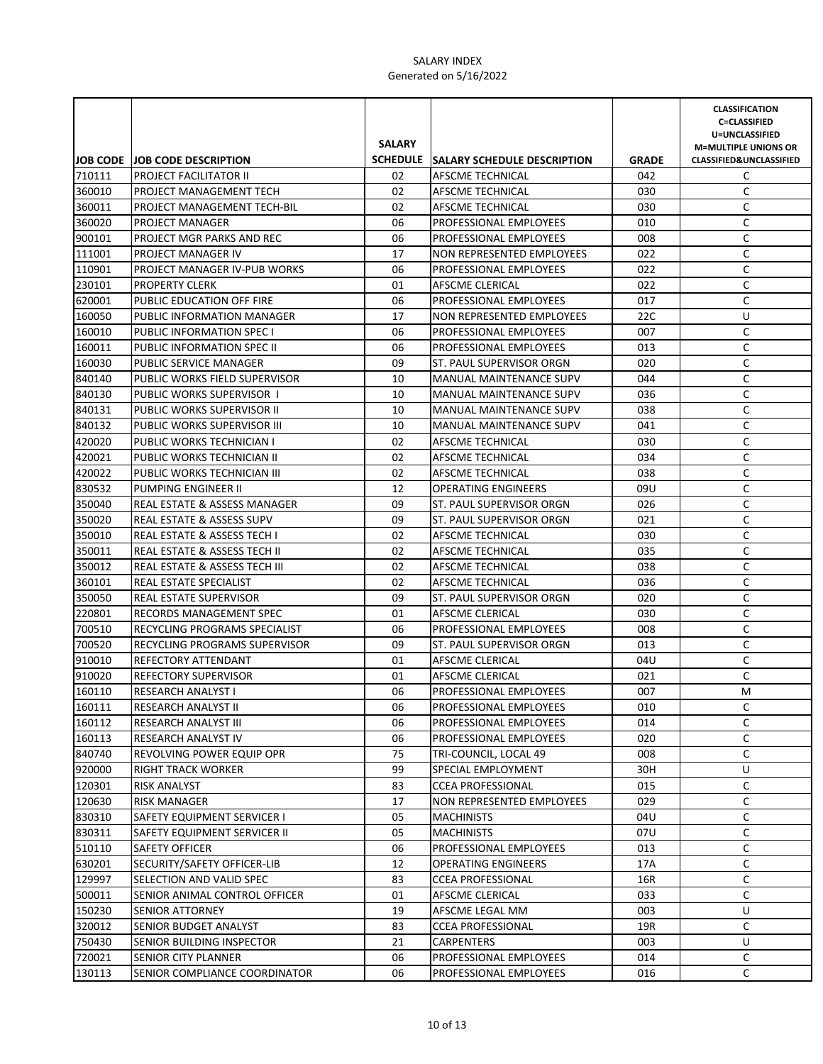| <b>SALARY</b><br><b>M=MULTIPLE UNIONS OR</b><br><b>JOB CODE JOB CODE DESCRIPTION</b><br>SCHEDULE SALARY SCHEDULE DESCRIPTION<br><b>GRADE</b><br><b>CLASSIFIED&amp;UNCLASSIFIED</b><br>710111<br><b>PROJECT FACILITATOR II</b><br>02<br>AFSCME TECHNICAL<br>042<br>C<br>C<br>02<br>360010<br>AFSCME TECHNICAL<br>030<br>PROJECT MANAGEMENT TECH<br>C<br>360011<br>02<br>030<br><b>PROJECT MANAGEMENT TECH-BIL</b><br>AFSCME TECHNICAL<br>C<br>06<br>360020<br>PROJECT MANAGER<br><b>PROFESSIONAL EMPLOYEES</b><br>010<br>C<br>900101<br>PROJECT MGR PARKS AND REC<br>06<br>PROFESSIONAL EMPLOYEES<br>008<br>C<br>111001<br>PROJECT MANAGER IV<br>17<br>NON REPRESENTED EMPLOYEES<br>022<br>110901<br>06<br>022<br>C<br>PROJECT MANAGER IV-PUB WORKS<br><b>PROFESSIONAL EMPLOYEES</b><br>С<br>230101<br>01<br><b>PROPERTY CLERK</b><br>AFSCME CLERICAL<br>022<br>C<br>620001<br>PUBLIC EDUCATION OFF FIRE<br>06<br>PROFESSIONAL EMPLOYEES<br>017<br>160050<br>NON REPRESENTED EMPLOYEES<br>U<br>PUBLIC INFORMATION MANAGER<br>17<br>22C<br>С<br>160010<br>06<br>007<br>PUBLIC INFORMATION SPECT<br>PROFESSIONAL EMPLOYEES<br>C<br>160011<br>PUBLIC INFORMATION SPEC II<br>06<br>PROFESSIONAL EMPLOYEES<br>013<br>C<br>160030<br>PUBLIC SERVICE MANAGER<br>09<br>ST. PAUL SUPERVISOR ORGN<br>020<br>C<br>840140<br>PUBLIC WORKS FIELD SUPERVISOR<br>10<br>MANUAL MAINTENANCE SUPV<br>044<br>С<br>840130<br>10<br>036<br>PUBLIC WORKS SUPERVISOR 1<br>MANUAL MAINTENANCE SUPV<br>C<br>10<br>038<br>840131<br>PUBLIC WORKS SUPERVISOR II<br><b>MANUAL MAINTENANCE SUPV</b><br>C<br>10<br>840132<br>PUBLIC WORKS SUPERVISOR III<br><b>MANUAL MAINTENANCE SUPV</b><br>041<br>C<br>02<br>420020<br>PUBLIC WORKS TECHNICIAN I<br>AFSCME TECHNICAL<br>030<br>C<br>420021<br>02<br>034<br>PUBLIC WORKS TECHNICIAN II<br>AFSCME TECHNICAL<br>C<br>02<br>038<br>420022<br>PUBLIC WORKS TECHNICIAN III<br><b>AFSCME TECHNICAL</b><br>C<br>12<br>830532<br>PUMPING ENGINEER II<br><b>OPERATING ENGINEERS</b><br>09U<br>C<br>350040<br>09<br>REAL ESTATE & ASSESS MANAGER<br>ST. PAUL SUPERVISOR ORGN<br>026<br>C<br>350020<br><b>REAL ESTATE &amp; ASSESS SUPV</b><br>09<br><b>ST. PAUL SUPERVISOR ORGN</b><br>021<br>C<br>02<br>350010<br><b>REAL ESTATE &amp; ASSESS TECH I</b><br>AFSCME TECHNICAL<br>030<br>С<br>350011<br>REAL ESTATE & ASSESS TECH II<br>02<br>AFSCME TECHNICAL<br>035<br>С<br>350012<br><b>REAL ESTATE &amp; ASSESS TECH III</b><br>02<br>AFSCME TECHNICAL<br>038<br>С<br>360101<br><b>AFSCME TECHNICAL</b><br>REAL ESTATE SPECIALIST<br>02<br>036<br>С<br>350050<br>09<br><b>ST. PAUL SUPERVISOR ORGN</b><br>020<br><b>REAL ESTATE SUPERVISOR</b><br>C<br>220801<br>RECORDS MANAGEMENT SPEC<br>01<br>AFSCME CLERICAL<br>030<br>C<br>700510<br>RECYCLING PROGRAMS SPECIALIST<br>06<br>PROFESSIONAL EMPLOYEES<br>008<br>C<br>700520<br>RECYCLING PROGRAMS SUPERVISOR<br>09<br>ST. PAUL SUPERVISOR ORGN<br>013<br>C<br>910010<br>01<br>AFSCME CLERICAL<br>04U<br>REFECTORY ATTENDANT<br>C<br>910020<br>01<br>021<br><b>REFECTORY SUPERVISOR</b><br><b>AFSCME CLERICAL</b><br>06<br>PROFESSIONAL EMPLOYEES<br>007<br>M<br>160110<br><b>RESEARCH ANALYST I</b><br>160111<br><b>RESEARCH ANALYST II</b><br>06<br>PROFESSIONAL EMPLOYEES<br>С<br>010<br>C<br>160112<br>06<br>014<br>RESEARCH ANALYST III<br>PROFESSIONAL EMPLOYEES<br>С<br>160113<br>06<br>020<br>RESEARCH ANALYST IV<br><b>PROFESSIONAL EMPLOYEES</b><br>840740<br>С<br>75<br>REVOLVING POWER EQUIP OPR<br>TRI-COUNCIL, LOCAL 49<br>008<br>920000<br>99<br>U<br>RIGHT TRACK WORKER<br>SPECIAL EMPLOYMENT<br>30H<br>83<br><b>CCEA PROFESSIONAL</b><br>015<br>C<br>RISK ANALYST<br>120630<br>17<br>NON REPRESENTED EMPLOYEES<br>029<br>C<br><b>RISK MANAGER</b><br>830310<br>С<br>05<br>04U<br>SAFETY EQUIPMENT SERVICER I<br><b>MACHINISTS</b><br>С<br>830311<br>05<br>SAFETY EQUIPMENT SERVICER II<br><b>MACHINISTS</b><br>07U<br>С<br>510110<br><b>SAFETY OFFICER</b><br>06<br>013<br>PROFESSIONAL EMPLOYEES<br>630201<br>С<br>SECURITY/SAFETY OFFICER-LIB<br>12<br><b>OPERATING ENGINEERS</b><br>17A<br>С<br>129997<br>SELECTION AND VALID SPEC<br>83<br><b>CCEA PROFESSIONAL</b><br>16R<br>С<br>500011<br>SENIOR ANIMAL CONTROL OFFICER<br>01<br>AFSCME CLERICAL<br>033<br>150230<br>19<br>U<br>SENIOR ATTORNEY<br>AFSCME LEGAL MM<br>003<br>C<br>83<br>19R<br>SENIOR BUDGET ANALYST<br><b>CCEA PROFESSIONAL</b><br>750430<br>21<br>003<br>U<br>SENIOR BUILDING INSPECTOR<br>CARPENTERS<br>720021<br>C<br>SENIOR CITY PLANNER<br>06<br>PROFESSIONAL EMPLOYEES<br>014<br>C<br>06<br>016 |        |                               |                        | <b>CLASSIFICATION</b><br><b>C=CLASSIFIED</b><br>U=UNCLASSIFIED |
|--------------------------------------------------------------------------------------------------------------------------------------------------------------------------------------------------------------------------------------------------------------------------------------------------------------------------------------------------------------------------------------------------------------------------------------------------------------------------------------------------------------------------------------------------------------------------------------------------------------------------------------------------------------------------------------------------------------------------------------------------------------------------------------------------------------------------------------------------------------------------------------------------------------------------------------------------------------------------------------------------------------------------------------------------------------------------------------------------------------------------------------------------------------------------------------------------------------------------------------------------------------------------------------------------------------------------------------------------------------------------------------------------------------------------------------------------------------------------------------------------------------------------------------------------------------------------------------------------------------------------------------------------------------------------------------------------------------------------------------------------------------------------------------------------------------------------------------------------------------------------------------------------------------------------------------------------------------------------------------------------------------------------------------------------------------------------------------------------------------------------------------------------------------------------------------------------------------------------------------------------------------------------------------------------------------------------------------------------------------------------------------------------------------------------------------------------------------------------------------------------------------------------------------------------------------------------------------------------------------------------------------------------------------------------------------------------------------------------------------------------------------------------------------------------------------------------------------------------------------------------------------------------------------------------------------------------------------------------------------------------------------------------------------------------------------------------------------------------------------------------------------------------------------------------------------------------------------------------------------------------------------------------------------------------------------------------------------------------------------------------------------------------------------------------------------------------------------------------------------------------------------------------------------------------------------------------------------------------------------------------------------------------------------------------------------------------------------------------------------------------------------------------------------------------------------------------------------------------------------------------------------------------------------------------------------------------------------------------------------------------------------------------------------------------------------------------------------------------------------------------------------------------------------------------------------------------------------------------------------------------------------------------------------------------------------------------------------------------------------------------------------------------------------------------------------------------------------------------------------------------------------------------------------------------------------|--------|-------------------------------|------------------------|----------------------------------------------------------------|
|                                                                                                                                                                                                                                                                                                                                                                                                                                                                                                                                                                                                                                                                                                                                                                                                                                                                                                                                                                                                                                                                                                                                                                                                                                                                                                                                                                                                                                                                                                                                                                                                                                                                                                                                                                                                                                                                                                                                                                                                                                                                                                                                                                                                                                                                                                                                                                                                                                                                                                                                                                                                                                                                                                                                                                                                                                                                                                                                                                                                                                                                                                                                                                                                                                                                                                                                                                                                                                                                                                                                                                                                                                                                                                                                                                                                                                                                                                                                                                                                                                                                                                                                                                                                                                                                                                                                                                                                                                                                                                                                                              |        |                               |                        |                                                                |
|                                                                                                                                                                                                                                                                                                                                                                                                                                                                                                                                                                                                                                                                                                                                                                                                                                                                                                                                                                                                                                                                                                                                                                                                                                                                                                                                                                                                                                                                                                                                                                                                                                                                                                                                                                                                                                                                                                                                                                                                                                                                                                                                                                                                                                                                                                                                                                                                                                                                                                                                                                                                                                                                                                                                                                                                                                                                                                                                                                                                                                                                                                                                                                                                                                                                                                                                                                                                                                                                                                                                                                                                                                                                                                                                                                                                                                                                                                                                                                                                                                                                                                                                                                                                                                                                                                                                                                                                                                                                                                                                                              |        |                               |                        |                                                                |
|                                                                                                                                                                                                                                                                                                                                                                                                                                                                                                                                                                                                                                                                                                                                                                                                                                                                                                                                                                                                                                                                                                                                                                                                                                                                                                                                                                                                                                                                                                                                                                                                                                                                                                                                                                                                                                                                                                                                                                                                                                                                                                                                                                                                                                                                                                                                                                                                                                                                                                                                                                                                                                                                                                                                                                                                                                                                                                                                                                                                                                                                                                                                                                                                                                                                                                                                                                                                                                                                                                                                                                                                                                                                                                                                                                                                                                                                                                                                                                                                                                                                                                                                                                                                                                                                                                                                                                                                                                                                                                                                                              |        |                               |                        |                                                                |
|                                                                                                                                                                                                                                                                                                                                                                                                                                                                                                                                                                                                                                                                                                                                                                                                                                                                                                                                                                                                                                                                                                                                                                                                                                                                                                                                                                                                                                                                                                                                                                                                                                                                                                                                                                                                                                                                                                                                                                                                                                                                                                                                                                                                                                                                                                                                                                                                                                                                                                                                                                                                                                                                                                                                                                                                                                                                                                                                                                                                                                                                                                                                                                                                                                                                                                                                                                                                                                                                                                                                                                                                                                                                                                                                                                                                                                                                                                                                                                                                                                                                                                                                                                                                                                                                                                                                                                                                                                                                                                                                                              |        |                               |                        |                                                                |
|                                                                                                                                                                                                                                                                                                                                                                                                                                                                                                                                                                                                                                                                                                                                                                                                                                                                                                                                                                                                                                                                                                                                                                                                                                                                                                                                                                                                                                                                                                                                                                                                                                                                                                                                                                                                                                                                                                                                                                                                                                                                                                                                                                                                                                                                                                                                                                                                                                                                                                                                                                                                                                                                                                                                                                                                                                                                                                                                                                                                                                                                                                                                                                                                                                                                                                                                                                                                                                                                                                                                                                                                                                                                                                                                                                                                                                                                                                                                                                                                                                                                                                                                                                                                                                                                                                                                                                                                                                                                                                                                                              |        |                               |                        |                                                                |
|                                                                                                                                                                                                                                                                                                                                                                                                                                                                                                                                                                                                                                                                                                                                                                                                                                                                                                                                                                                                                                                                                                                                                                                                                                                                                                                                                                                                                                                                                                                                                                                                                                                                                                                                                                                                                                                                                                                                                                                                                                                                                                                                                                                                                                                                                                                                                                                                                                                                                                                                                                                                                                                                                                                                                                                                                                                                                                                                                                                                                                                                                                                                                                                                                                                                                                                                                                                                                                                                                                                                                                                                                                                                                                                                                                                                                                                                                                                                                                                                                                                                                                                                                                                                                                                                                                                                                                                                                                                                                                                                                              |        |                               |                        |                                                                |
|                                                                                                                                                                                                                                                                                                                                                                                                                                                                                                                                                                                                                                                                                                                                                                                                                                                                                                                                                                                                                                                                                                                                                                                                                                                                                                                                                                                                                                                                                                                                                                                                                                                                                                                                                                                                                                                                                                                                                                                                                                                                                                                                                                                                                                                                                                                                                                                                                                                                                                                                                                                                                                                                                                                                                                                                                                                                                                                                                                                                                                                                                                                                                                                                                                                                                                                                                                                                                                                                                                                                                                                                                                                                                                                                                                                                                                                                                                                                                                                                                                                                                                                                                                                                                                                                                                                                                                                                                                                                                                                                                              |        |                               |                        |                                                                |
|                                                                                                                                                                                                                                                                                                                                                                                                                                                                                                                                                                                                                                                                                                                                                                                                                                                                                                                                                                                                                                                                                                                                                                                                                                                                                                                                                                                                                                                                                                                                                                                                                                                                                                                                                                                                                                                                                                                                                                                                                                                                                                                                                                                                                                                                                                                                                                                                                                                                                                                                                                                                                                                                                                                                                                                                                                                                                                                                                                                                                                                                                                                                                                                                                                                                                                                                                                                                                                                                                                                                                                                                                                                                                                                                                                                                                                                                                                                                                                                                                                                                                                                                                                                                                                                                                                                                                                                                                                                                                                                                                              |        |                               |                        |                                                                |
|                                                                                                                                                                                                                                                                                                                                                                                                                                                                                                                                                                                                                                                                                                                                                                                                                                                                                                                                                                                                                                                                                                                                                                                                                                                                                                                                                                                                                                                                                                                                                                                                                                                                                                                                                                                                                                                                                                                                                                                                                                                                                                                                                                                                                                                                                                                                                                                                                                                                                                                                                                                                                                                                                                                                                                                                                                                                                                                                                                                                                                                                                                                                                                                                                                                                                                                                                                                                                                                                                                                                                                                                                                                                                                                                                                                                                                                                                                                                                                                                                                                                                                                                                                                                                                                                                                                                                                                                                                                                                                                                                              |        |                               |                        |                                                                |
|                                                                                                                                                                                                                                                                                                                                                                                                                                                                                                                                                                                                                                                                                                                                                                                                                                                                                                                                                                                                                                                                                                                                                                                                                                                                                                                                                                                                                                                                                                                                                                                                                                                                                                                                                                                                                                                                                                                                                                                                                                                                                                                                                                                                                                                                                                                                                                                                                                                                                                                                                                                                                                                                                                                                                                                                                                                                                                                                                                                                                                                                                                                                                                                                                                                                                                                                                                                                                                                                                                                                                                                                                                                                                                                                                                                                                                                                                                                                                                                                                                                                                                                                                                                                                                                                                                                                                                                                                                                                                                                                                              |        |                               |                        |                                                                |
|                                                                                                                                                                                                                                                                                                                                                                                                                                                                                                                                                                                                                                                                                                                                                                                                                                                                                                                                                                                                                                                                                                                                                                                                                                                                                                                                                                                                                                                                                                                                                                                                                                                                                                                                                                                                                                                                                                                                                                                                                                                                                                                                                                                                                                                                                                                                                                                                                                                                                                                                                                                                                                                                                                                                                                                                                                                                                                                                                                                                                                                                                                                                                                                                                                                                                                                                                                                                                                                                                                                                                                                                                                                                                                                                                                                                                                                                                                                                                                                                                                                                                                                                                                                                                                                                                                                                                                                                                                                                                                                                                              |        |                               |                        |                                                                |
|                                                                                                                                                                                                                                                                                                                                                                                                                                                                                                                                                                                                                                                                                                                                                                                                                                                                                                                                                                                                                                                                                                                                                                                                                                                                                                                                                                                                                                                                                                                                                                                                                                                                                                                                                                                                                                                                                                                                                                                                                                                                                                                                                                                                                                                                                                                                                                                                                                                                                                                                                                                                                                                                                                                                                                                                                                                                                                                                                                                                                                                                                                                                                                                                                                                                                                                                                                                                                                                                                                                                                                                                                                                                                                                                                                                                                                                                                                                                                                                                                                                                                                                                                                                                                                                                                                                                                                                                                                                                                                                                                              |        |                               |                        |                                                                |
|                                                                                                                                                                                                                                                                                                                                                                                                                                                                                                                                                                                                                                                                                                                                                                                                                                                                                                                                                                                                                                                                                                                                                                                                                                                                                                                                                                                                                                                                                                                                                                                                                                                                                                                                                                                                                                                                                                                                                                                                                                                                                                                                                                                                                                                                                                                                                                                                                                                                                                                                                                                                                                                                                                                                                                                                                                                                                                                                                                                                                                                                                                                                                                                                                                                                                                                                                                                                                                                                                                                                                                                                                                                                                                                                                                                                                                                                                                                                                                                                                                                                                                                                                                                                                                                                                                                                                                                                                                                                                                                                                              |        |                               |                        |                                                                |
|                                                                                                                                                                                                                                                                                                                                                                                                                                                                                                                                                                                                                                                                                                                                                                                                                                                                                                                                                                                                                                                                                                                                                                                                                                                                                                                                                                                                                                                                                                                                                                                                                                                                                                                                                                                                                                                                                                                                                                                                                                                                                                                                                                                                                                                                                                                                                                                                                                                                                                                                                                                                                                                                                                                                                                                                                                                                                                                                                                                                                                                                                                                                                                                                                                                                                                                                                                                                                                                                                                                                                                                                                                                                                                                                                                                                                                                                                                                                                                                                                                                                                                                                                                                                                                                                                                                                                                                                                                                                                                                                                              |        |                               |                        |                                                                |
|                                                                                                                                                                                                                                                                                                                                                                                                                                                                                                                                                                                                                                                                                                                                                                                                                                                                                                                                                                                                                                                                                                                                                                                                                                                                                                                                                                                                                                                                                                                                                                                                                                                                                                                                                                                                                                                                                                                                                                                                                                                                                                                                                                                                                                                                                                                                                                                                                                                                                                                                                                                                                                                                                                                                                                                                                                                                                                                                                                                                                                                                                                                                                                                                                                                                                                                                                                                                                                                                                                                                                                                                                                                                                                                                                                                                                                                                                                                                                                                                                                                                                                                                                                                                                                                                                                                                                                                                                                                                                                                                                              |        |                               |                        |                                                                |
|                                                                                                                                                                                                                                                                                                                                                                                                                                                                                                                                                                                                                                                                                                                                                                                                                                                                                                                                                                                                                                                                                                                                                                                                                                                                                                                                                                                                                                                                                                                                                                                                                                                                                                                                                                                                                                                                                                                                                                                                                                                                                                                                                                                                                                                                                                                                                                                                                                                                                                                                                                                                                                                                                                                                                                                                                                                                                                                                                                                                                                                                                                                                                                                                                                                                                                                                                                                                                                                                                                                                                                                                                                                                                                                                                                                                                                                                                                                                                                                                                                                                                                                                                                                                                                                                                                                                                                                                                                                                                                                                                              |        |                               |                        |                                                                |
|                                                                                                                                                                                                                                                                                                                                                                                                                                                                                                                                                                                                                                                                                                                                                                                                                                                                                                                                                                                                                                                                                                                                                                                                                                                                                                                                                                                                                                                                                                                                                                                                                                                                                                                                                                                                                                                                                                                                                                                                                                                                                                                                                                                                                                                                                                                                                                                                                                                                                                                                                                                                                                                                                                                                                                                                                                                                                                                                                                                                                                                                                                                                                                                                                                                                                                                                                                                                                                                                                                                                                                                                                                                                                                                                                                                                                                                                                                                                                                                                                                                                                                                                                                                                                                                                                                                                                                                                                                                                                                                                                              |        |                               |                        |                                                                |
|                                                                                                                                                                                                                                                                                                                                                                                                                                                                                                                                                                                                                                                                                                                                                                                                                                                                                                                                                                                                                                                                                                                                                                                                                                                                                                                                                                                                                                                                                                                                                                                                                                                                                                                                                                                                                                                                                                                                                                                                                                                                                                                                                                                                                                                                                                                                                                                                                                                                                                                                                                                                                                                                                                                                                                                                                                                                                                                                                                                                                                                                                                                                                                                                                                                                                                                                                                                                                                                                                                                                                                                                                                                                                                                                                                                                                                                                                                                                                                                                                                                                                                                                                                                                                                                                                                                                                                                                                                                                                                                                                              |        |                               |                        |                                                                |
|                                                                                                                                                                                                                                                                                                                                                                                                                                                                                                                                                                                                                                                                                                                                                                                                                                                                                                                                                                                                                                                                                                                                                                                                                                                                                                                                                                                                                                                                                                                                                                                                                                                                                                                                                                                                                                                                                                                                                                                                                                                                                                                                                                                                                                                                                                                                                                                                                                                                                                                                                                                                                                                                                                                                                                                                                                                                                                                                                                                                                                                                                                                                                                                                                                                                                                                                                                                                                                                                                                                                                                                                                                                                                                                                                                                                                                                                                                                                                                                                                                                                                                                                                                                                                                                                                                                                                                                                                                                                                                                                                              |        |                               |                        |                                                                |
|                                                                                                                                                                                                                                                                                                                                                                                                                                                                                                                                                                                                                                                                                                                                                                                                                                                                                                                                                                                                                                                                                                                                                                                                                                                                                                                                                                                                                                                                                                                                                                                                                                                                                                                                                                                                                                                                                                                                                                                                                                                                                                                                                                                                                                                                                                                                                                                                                                                                                                                                                                                                                                                                                                                                                                                                                                                                                                                                                                                                                                                                                                                                                                                                                                                                                                                                                                                                                                                                                                                                                                                                                                                                                                                                                                                                                                                                                                                                                                                                                                                                                                                                                                                                                                                                                                                                                                                                                                                                                                                                                              |        |                               |                        |                                                                |
|                                                                                                                                                                                                                                                                                                                                                                                                                                                                                                                                                                                                                                                                                                                                                                                                                                                                                                                                                                                                                                                                                                                                                                                                                                                                                                                                                                                                                                                                                                                                                                                                                                                                                                                                                                                                                                                                                                                                                                                                                                                                                                                                                                                                                                                                                                                                                                                                                                                                                                                                                                                                                                                                                                                                                                                                                                                                                                                                                                                                                                                                                                                                                                                                                                                                                                                                                                                                                                                                                                                                                                                                                                                                                                                                                                                                                                                                                                                                                                                                                                                                                                                                                                                                                                                                                                                                                                                                                                                                                                                                                              |        |                               |                        |                                                                |
|                                                                                                                                                                                                                                                                                                                                                                                                                                                                                                                                                                                                                                                                                                                                                                                                                                                                                                                                                                                                                                                                                                                                                                                                                                                                                                                                                                                                                                                                                                                                                                                                                                                                                                                                                                                                                                                                                                                                                                                                                                                                                                                                                                                                                                                                                                                                                                                                                                                                                                                                                                                                                                                                                                                                                                                                                                                                                                                                                                                                                                                                                                                                                                                                                                                                                                                                                                                                                                                                                                                                                                                                                                                                                                                                                                                                                                                                                                                                                                                                                                                                                                                                                                                                                                                                                                                                                                                                                                                                                                                                                              |        |                               |                        |                                                                |
|                                                                                                                                                                                                                                                                                                                                                                                                                                                                                                                                                                                                                                                                                                                                                                                                                                                                                                                                                                                                                                                                                                                                                                                                                                                                                                                                                                                                                                                                                                                                                                                                                                                                                                                                                                                                                                                                                                                                                                                                                                                                                                                                                                                                                                                                                                                                                                                                                                                                                                                                                                                                                                                                                                                                                                                                                                                                                                                                                                                                                                                                                                                                                                                                                                                                                                                                                                                                                                                                                                                                                                                                                                                                                                                                                                                                                                                                                                                                                                                                                                                                                                                                                                                                                                                                                                                                                                                                                                                                                                                                                              |        |                               |                        |                                                                |
|                                                                                                                                                                                                                                                                                                                                                                                                                                                                                                                                                                                                                                                                                                                                                                                                                                                                                                                                                                                                                                                                                                                                                                                                                                                                                                                                                                                                                                                                                                                                                                                                                                                                                                                                                                                                                                                                                                                                                                                                                                                                                                                                                                                                                                                                                                                                                                                                                                                                                                                                                                                                                                                                                                                                                                                                                                                                                                                                                                                                                                                                                                                                                                                                                                                                                                                                                                                                                                                                                                                                                                                                                                                                                                                                                                                                                                                                                                                                                                                                                                                                                                                                                                                                                                                                                                                                                                                                                                                                                                                                                              |        |                               |                        |                                                                |
|                                                                                                                                                                                                                                                                                                                                                                                                                                                                                                                                                                                                                                                                                                                                                                                                                                                                                                                                                                                                                                                                                                                                                                                                                                                                                                                                                                                                                                                                                                                                                                                                                                                                                                                                                                                                                                                                                                                                                                                                                                                                                                                                                                                                                                                                                                                                                                                                                                                                                                                                                                                                                                                                                                                                                                                                                                                                                                                                                                                                                                                                                                                                                                                                                                                                                                                                                                                                                                                                                                                                                                                                                                                                                                                                                                                                                                                                                                                                                                                                                                                                                                                                                                                                                                                                                                                                                                                                                                                                                                                                                              |        |                               |                        |                                                                |
|                                                                                                                                                                                                                                                                                                                                                                                                                                                                                                                                                                                                                                                                                                                                                                                                                                                                                                                                                                                                                                                                                                                                                                                                                                                                                                                                                                                                                                                                                                                                                                                                                                                                                                                                                                                                                                                                                                                                                                                                                                                                                                                                                                                                                                                                                                                                                                                                                                                                                                                                                                                                                                                                                                                                                                                                                                                                                                                                                                                                                                                                                                                                                                                                                                                                                                                                                                                                                                                                                                                                                                                                                                                                                                                                                                                                                                                                                                                                                                                                                                                                                                                                                                                                                                                                                                                                                                                                                                                                                                                                                              |        |                               |                        |                                                                |
|                                                                                                                                                                                                                                                                                                                                                                                                                                                                                                                                                                                                                                                                                                                                                                                                                                                                                                                                                                                                                                                                                                                                                                                                                                                                                                                                                                                                                                                                                                                                                                                                                                                                                                                                                                                                                                                                                                                                                                                                                                                                                                                                                                                                                                                                                                                                                                                                                                                                                                                                                                                                                                                                                                                                                                                                                                                                                                                                                                                                                                                                                                                                                                                                                                                                                                                                                                                                                                                                                                                                                                                                                                                                                                                                                                                                                                                                                                                                                                                                                                                                                                                                                                                                                                                                                                                                                                                                                                                                                                                                                              |        |                               |                        |                                                                |
|                                                                                                                                                                                                                                                                                                                                                                                                                                                                                                                                                                                                                                                                                                                                                                                                                                                                                                                                                                                                                                                                                                                                                                                                                                                                                                                                                                                                                                                                                                                                                                                                                                                                                                                                                                                                                                                                                                                                                                                                                                                                                                                                                                                                                                                                                                                                                                                                                                                                                                                                                                                                                                                                                                                                                                                                                                                                                                                                                                                                                                                                                                                                                                                                                                                                                                                                                                                                                                                                                                                                                                                                                                                                                                                                                                                                                                                                                                                                                                                                                                                                                                                                                                                                                                                                                                                                                                                                                                                                                                                                                              |        |                               |                        |                                                                |
|                                                                                                                                                                                                                                                                                                                                                                                                                                                                                                                                                                                                                                                                                                                                                                                                                                                                                                                                                                                                                                                                                                                                                                                                                                                                                                                                                                                                                                                                                                                                                                                                                                                                                                                                                                                                                                                                                                                                                                                                                                                                                                                                                                                                                                                                                                                                                                                                                                                                                                                                                                                                                                                                                                                                                                                                                                                                                                                                                                                                                                                                                                                                                                                                                                                                                                                                                                                                                                                                                                                                                                                                                                                                                                                                                                                                                                                                                                                                                                                                                                                                                                                                                                                                                                                                                                                                                                                                                                                                                                                                                              |        |                               |                        |                                                                |
|                                                                                                                                                                                                                                                                                                                                                                                                                                                                                                                                                                                                                                                                                                                                                                                                                                                                                                                                                                                                                                                                                                                                                                                                                                                                                                                                                                                                                                                                                                                                                                                                                                                                                                                                                                                                                                                                                                                                                                                                                                                                                                                                                                                                                                                                                                                                                                                                                                                                                                                                                                                                                                                                                                                                                                                                                                                                                                                                                                                                                                                                                                                                                                                                                                                                                                                                                                                                                                                                                                                                                                                                                                                                                                                                                                                                                                                                                                                                                                                                                                                                                                                                                                                                                                                                                                                                                                                                                                                                                                                                                              |        |                               |                        |                                                                |
|                                                                                                                                                                                                                                                                                                                                                                                                                                                                                                                                                                                                                                                                                                                                                                                                                                                                                                                                                                                                                                                                                                                                                                                                                                                                                                                                                                                                                                                                                                                                                                                                                                                                                                                                                                                                                                                                                                                                                                                                                                                                                                                                                                                                                                                                                                                                                                                                                                                                                                                                                                                                                                                                                                                                                                                                                                                                                                                                                                                                                                                                                                                                                                                                                                                                                                                                                                                                                                                                                                                                                                                                                                                                                                                                                                                                                                                                                                                                                                                                                                                                                                                                                                                                                                                                                                                                                                                                                                                                                                                                                              |        |                               |                        |                                                                |
|                                                                                                                                                                                                                                                                                                                                                                                                                                                                                                                                                                                                                                                                                                                                                                                                                                                                                                                                                                                                                                                                                                                                                                                                                                                                                                                                                                                                                                                                                                                                                                                                                                                                                                                                                                                                                                                                                                                                                                                                                                                                                                                                                                                                                                                                                                                                                                                                                                                                                                                                                                                                                                                                                                                                                                                                                                                                                                                                                                                                                                                                                                                                                                                                                                                                                                                                                                                                                                                                                                                                                                                                                                                                                                                                                                                                                                                                                                                                                                                                                                                                                                                                                                                                                                                                                                                                                                                                                                                                                                                                                              |        |                               |                        |                                                                |
|                                                                                                                                                                                                                                                                                                                                                                                                                                                                                                                                                                                                                                                                                                                                                                                                                                                                                                                                                                                                                                                                                                                                                                                                                                                                                                                                                                                                                                                                                                                                                                                                                                                                                                                                                                                                                                                                                                                                                                                                                                                                                                                                                                                                                                                                                                                                                                                                                                                                                                                                                                                                                                                                                                                                                                                                                                                                                                                                                                                                                                                                                                                                                                                                                                                                                                                                                                                                                                                                                                                                                                                                                                                                                                                                                                                                                                                                                                                                                                                                                                                                                                                                                                                                                                                                                                                                                                                                                                                                                                                                                              |        |                               |                        |                                                                |
|                                                                                                                                                                                                                                                                                                                                                                                                                                                                                                                                                                                                                                                                                                                                                                                                                                                                                                                                                                                                                                                                                                                                                                                                                                                                                                                                                                                                                                                                                                                                                                                                                                                                                                                                                                                                                                                                                                                                                                                                                                                                                                                                                                                                                                                                                                                                                                                                                                                                                                                                                                                                                                                                                                                                                                                                                                                                                                                                                                                                                                                                                                                                                                                                                                                                                                                                                                                                                                                                                                                                                                                                                                                                                                                                                                                                                                                                                                                                                                                                                                                                                                                                                                                                                                                                                                                                                                                                                                                                                                                                                              |        |                               |                        |                                                                |
|                                                                                                                                                                                                                                                                                                                                                                                                                                                                                                                                                                                                                                                                                                                                                                                                                                                                                                                                                                                                                                                                                                                                                                                                                                                                                                                                                                                                                                                                                                                                                                                                                                                                                                                                                                                                                                                                                                                                                                                                                                                                                                                                                                                                                                                                                                                                                                                                                                                                                                                                                                                                                                                                                                                                                                                                                                                                                                                                                                                                                                                                                                                                                                                                                                                                                                                                                                                                                                                                                                                                                                                                                                                                                                                                                                                                                                                                                                                                                                                                                                                                                                                                                                                                                                                                                                                                                                                                                                                                                                                                                              |        |                               |                        |                                                                |
|                                                                                                                                                                                                                                                                                                                                                                                                                                                                                                                                                                                                                                                                                                                                                                                                                                                                                                                                                                                                                                                                                                                                                                                                                                                                                                                                                                                                                                                                                                                                                                                                                                                                                                                                                                                                                                                                                                                                                                                                                                                                                                                                                                                                                                                                                                                                                                                                                                                                                                                                                                                                                                                                                                                                                                                                                                                                                                                                                                                                                                                                                                                                                                                                                                                                                                                                                                                                                                                                                                                                                                                                                                                                                                                                                                                                                                                                                                                                                                                                                                                                                                                                                                                                                                                                                                                                                                                                                                                                                                                                                              |        |                               |                        |                                                                |
|                                                                                                                                                                                                                                                                                                                                                                                                                                                                                                                                                                                                                                                                                                                                                                                                                                                                                                                                                                                                                                                                                                                                                                                                                                                                                                                                                                                                                                                                                                                                                                                                                                                                                                                                                                                                                                                                                                                                                                                                                                                                                                                                                                                                                                                                                                                                                                                                                                                                                                                                                                                                                                                                                                                                                                                                                                                                                                                                                                                                                                                                                                                                                                                                                                                                                                                                                                                                                                                                                                                                                                                                                                                                                                                                                                                                                                                                                                                                                                                                                                                                                                                                                                                                                                                                                                                                                                                                                                                                                                                                                              |        |                               |                        |                                                                |
|                                                                                                                                                                                                                                                                                                                                                                                                                                                                                                                                                                                                                                                                                                                                                                                                                                                                                                                                                                                                                                                                                                                                                                                                                                                                                                                                                                                                                                                                                                                                                                                                                                                                                                                                                                                                                                                                                                                                                                                                                                                                                                                                                                                                                                                                                                                                                                                                                                                                                                                                                                                                                                                                                                                                                                                                                                                                                                                                                                                                                                                                                                                                                                                                                                                                                                                                                                                                                                                                                                                                                                                                                                                                                                                                                                                                                                                                                                                                                                                                                                                                                                                                                                                                                                                                                                                                                                                                                                                                                                                                                              |        |                               |                        |                                                                |
|                                                                                                                                                                                                                                                                                                                                                                                                                                                                                                                                                                                                                                                                                                                                                                                                                                                                                                                                                                                                                                                                                                                                                                                                                                                                                                                                                                                                                                                                                                                                                                                                                                                                                                                                                                                                                                                                                                                                                                                                                                                                                                                                                                                                                                                                                                                                                                                                                                                                                                                                                                                                                                                                                                                                                                                                                                                                                                                                                                                                                                                                                                                                                                                                                                                                                                                                                                                                                                                                                                                                                                                                                                                                                                                                                                                                                                                                                                                                                                                                                                                                                                                                                                                                                                                                                                                                                                                                                                                                                                                                                              |        |                               |                        |                                                                |
|                                                                                                                                                                                                                                                                                                                                                                                                                                                                                                                                                                                                                                                                                                                                                                                                                                                                                                                                                                                                                                                                                                                                                                                                                                                                                                                                                                                                                                                                                                                                                                                                                                                                                                                                                                                                                                                                                                                                                                                                                                                                                                                                                                                                                                                                                                                                                                                                                                                                                                                                                                                                                                                                                                                                                                                                                                                                                                                                                                                                                                                                                                                                                                                                                                                                                                                                                                                                                                                                                                                                                                                                                                                                                                                                                                                                                                                                                                                                                                                                                                                                                                                                                                                                                                                                                                                                                                                                                                                                                                                                                              |        |                               |                        |                                                                |
|                                                                                                                                                                                                                                                                                                                                                                                                                                                                                                                                                                                                                                                                                                                                                                                                                                                                                                                                                                                                                                                                                                                                                                                                                                                                                                                                                                                                                                                                                                                                                                                                                                                                                                                                                                                                                                                                                                                                                                                                                                                                                                                                                                                                                                                                                                                                                                                                                                                                                                                                                                                                                                                                                                                                                                                                                                                                                                                                                                                                                                                                                                                                                                                                                                                                                                                                                                                                                                                                                                                                                                                                                                                                                                                                                                                                                                                                                                                                                                                                                                                                                                                                                                                                                                                                                                                                                                                                                                                                                                                                                              | 120301 |                               |                        |                                                                |
|                                                                                                                                                                                                                                                                                                                                                                                                                                                                                                                                                                                                                                                                                                                                                                                                                                                                                                                                                                                                                                                                                                                                                                                                                                                                                                                                                                                                                                                                                                                                                                                                                                                                                                                                                                                                                                                                                                                                                                                                                                                                                                                                                                                                                                                                                                                                                                                                                                                                                                                                                                                                                                                                                                                                                                                                                                                                                                                                                                                                                                                                                                                                                                                                                                                                                                                                                                                                                                                                                                                                                                                                                                                                                                                                                                                                                                                                                                                                                                                                                                                                                                                                                                                                                                                                                                                                                                                                                                                                                                                                                              |        |                               |                        |                                                                |
|                                                                                                                                                                                                                                                                                                                                                                                                                                                                                                                                                                                                                                                                                                                                                                                                                                                                                                                                                                                                                                                                                                                                                                                                                                                                                                                                                                                                                                                                                                                                                                                                                                                                                                                                                                                                                                                                                                                                                                                                                                                                                                                                                                                                                                                                                                                                                                                                                                                                                                                                                                                                                                                                                                                                                                                                                                                                                                                                                                                                                                                                                                                                                                                                                                                                                                                                                                                                                                                                                                                                                                                                                                                                                                                                                                                                                                                                                                                                                                                                                                                                                                                                                                                                                                                                                                                                                                                                                                                                                                                                                              |        |                               |                        |                                                                |
|                                                                                                                                                                                                                                                                                                                                                                                                                                                                                                                                                                                                                                                                                                                                                                                                                                                                                                                                                                                                                                                                                                                                                                                                                                                                                                                                                                                                                                                                                                                                                                                                                                                                                                                                                                                                                                                                                                                                                                                                                                                                                                                                                                                                                                                                                                                                                                                                                                                                                                                                                                                                                                                                                                                                                                                                                                                                                                                                                                                                                                                                                                                                                                                                                                                                                                                                                                                                                                                                                                                                                                                                                                                                                                                                                                                                                                                                                                                                                                                                                                                                                                                                                                                                                                                                                                                                                                                                                                                                                                                                                              |        |                               |                        |                                                                |
|                                                                                                                                                                                                                                                                                                                                                                                                                                                                                                                                                                                                                                                                                                                                                                                                                                                                                                                                                                                                                                                                                                                                                                                                                                                                                                                                                                                                                                                                                                                                                                                                                                                                                                                                                                                                                                                                                                                                                                                                                                                                                                                                                                                                                                                                                                                                                                                                                                                                                                                                                                                                                                                                                                                                                                                                                                                                                                                                                                                                                                                                                                                                                                                                                                                                                                                                                                                                                                                                                                                                                                                                                                                                                                                                                                                                                                                                                                                                                                                                                                                                                                                                                                                                                                                                                                                                                                                                                                                                                                                                                              |        |                               |                        |                                                                |
|                                                                                                                                                                                                                                                                                                                                                                                                                                                                                                                                                                                                                                                                                                                                                                                                                                                                                                                                                                                                                                                                                                                                                                                                                                                                                                                                                                                                                                                                                                                                                                                                                                                                                                                                                                                                                                                                                                                                                                                                                                                                                                                                                                                                                                                                                                                                                                                                                                                                                                                                                                                                                                                                                                                                                                                                                                                                                                                                                                                                                                                                                                                                                                                                                                                                                                                                                                                                                                                                                                                                                                                                                                                                                                                                                                                                                                                                                                                                                                                                                                                                                                                                                                                                                                                                                                                                                                                                                                                                                                                                                              |        |                               |                        |                                                                |
|                                                                                                                                                                                                                                                                                                                                                                                                                                                                                                                                                                                                                                                                                                                                                                                                                                                                                                                                                                                                                                                                                                                                                                                                                                                                                                                                                                                                                                                                                                                                                                                                                                                                                                                                                                                                                                                                                                                                                                                                                                                                                                                                                                                                                                                                                                                                                                                                                                                                                                                                                                                                                                                                                                                                                                                                                                                                                                                                                                                                                                                                                                                                                                                                                                                                                                                                                                                                                                                                                                                                                                                                                                                                                                                                                                                                                                                                                                                                                                                                                                                                                                                                                                                                                                                                                                                                                                                                                                                                                                                                                              |        |                               |                        |                                                                |
|                                                                                                                                                                                                                                                                                                                                                                                                                                                                                                                                                                                                                                                                                                                                                                                                                                                                                                                                                                                                                                                                                                                                                                                                                                                                                                                                                                                                                                                                                                                                                                                                                                                                                                                                                                                                                                                                                                                                                                                                                                                                                                                                                                                                                                                                                                                                                                                                                                                                                                                                                                                                                                                                                                                                                                                                                                                                                                                                                                                                                                                                                                                                                                                                                                                                                                                                                                                                                                                                                                                                                                                                                                                                                                                                                                                                                                                                                                                                                                                                                                                                                                                                                                                                                                                                                                                                                                                                                                                                                                                                                              |        |                               |                        |                                                                |
|                                                                                                                                                                                                                                                                                                                                                                                                                                                                                                                                                                                                                                                                                                                                                                                                                                                                                                                                                                                                                                                                                                                                                                                                                                                                                                                                                                                                                                                                                                                                                                                                                                                                                                                                                                                                                                                                                                                                                                                                                                                                                                                                                                                                                                                                                                                                                                                                                                                                                                                                                                                                                                                                                                                                                                                                                                                                                                                                                                                                                                                                                                                                                                                                                                                                                                                                                                                                                                                                                                                                                                                                                                                                                                                                                                                                                                                                                                                                                                                                                                                                                                                                                                                                                                                                                                                                                                                                                                                                                                                                                              |        |                               |                        |                                                                |
|                                                                                                                                                                                                                                                                                                                                                                                                                                                                                                                                                                                                                                                                                                                                                                                                                                                                                                                                                                                                                                                                                                                                                                                                                                                                                                                                                                                                                                                                                                                                                                                                                                                                                                                                                                                                                                                                                                                                                                                                                                                                                                                                                                                                                                                                                                                                                                                                                                                                                                                                                                                                                                                                                                                                                                                                                                                                                                                                                                                                                                                                                                                                                                                                                                                                                                                                                                                                                                                                                                                                                                                                                                                                                                                                                                                                                                                                                                                                                                                                                                                                                                                                                                                                                                                                                                                                                                                                                                                                                                                                                              | 320012 |                               |                        |                                                                |
|                                                                                                                                                                                                                                                                                                                                                                                                                                                                                                                                                                                                                                                                                                                                                                                                                                                                                                                                                                                                                                                                                                                                                                                                                                                                                                                                                                                                                                                                                                                                                                                                                                                                                                                                                                                                                                                                                                                                                                                                                                                                                                                                                                                                                                                                                                                                                                                                                                                                                                                                                                                                                                                                                                                                                                                                                                                                                                                                                                                                                                                                                                                                                                                                                                                                                                                                                                                                                                                                                                                                                                                                                                                                                                                                                                                                                                                                                                                                                                                                                                                                                                                                                                                                                                                                                                                                                                                                                                                                                                                                                              |        |                               |                        |                                                                |
|                                                                                                                                                                                                                                                                                                                                                                                                                                                                                                                                                                                                                                                                                                                                                                                                                                                                                                                                                                                                                                                                                                                                                                                                                                                                                                                                                                                                                                                                                                                                                                                                                                                                                                                                                                                                                                                                                                                                                                                                                                                                                                                                                                                                                                                                                                                                                                                                                                                                                                                                                                                                                                                                                                                                                                                                                                                                                                                                                                                                                                                                                                                                                                                                                                                                                                                                                                                                                                                                                                                                                                                                                                                                                                                                                                                                                                                                                                                                                                                                                                                                                                                                                                                                                                                                                                                                                                                                                                                                                                                                                              |        |                               |                        |                                                                |
|                                                                                                                                                                                                                                                                                                                                                                                                                                                                                                                                                                                                                                                                                                                                                                                                                                                                                                                                                                                                                                                                                                                                                                                                                                                                                                                                                                                                                                                                                                                                                                                                                                                                                                                                                                                                                                                                                                                                                                                                                                                                                                                                                                                                                                                                                                                                                                                                                                                                                                                                                                                                                                                                                                                                                                                                                                                                                                                                                                                                                                                                                                                                                                                                                                                                                                                                                                                                                                                                                                                                                                                                                                                                                                                                                                                                                                                                                                                                                                                                                                                                                                                                                                                                                                                                                                                                                                                                                                                                                                                                                              | 130113 | SENIOR COMPLIANCE COORDINATOR | PROFESSIONAL EMPLOYEES |                                                                |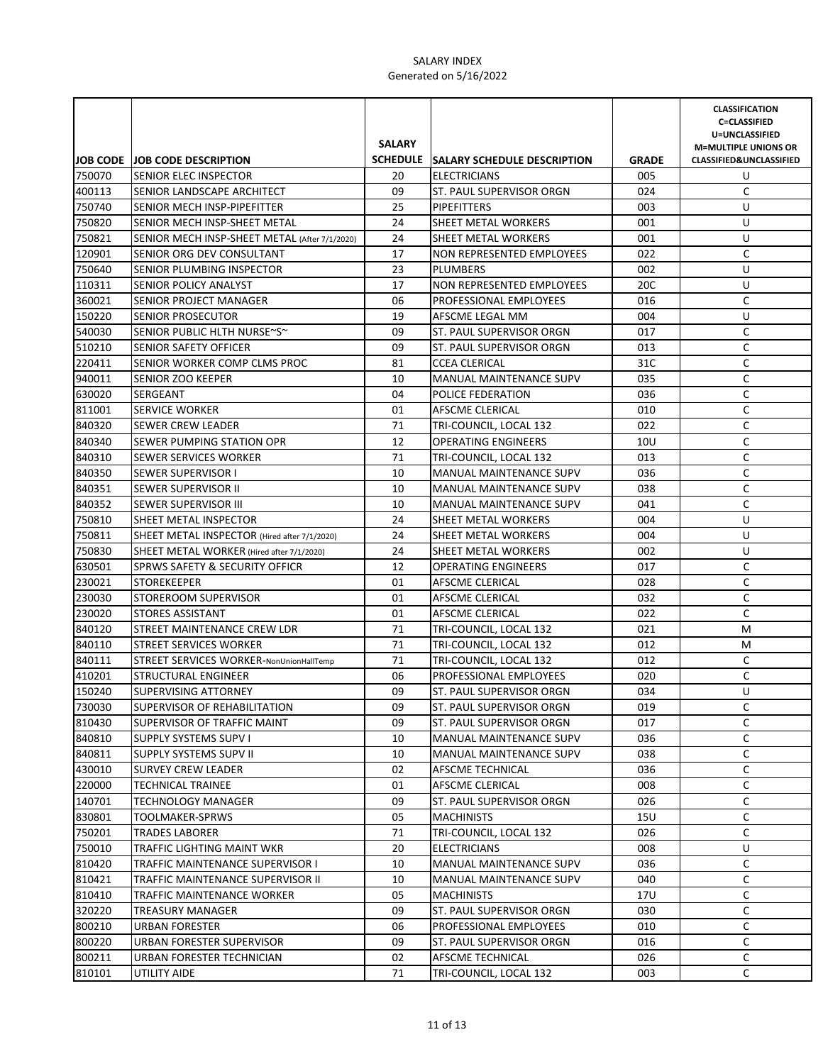|                  |                                               |               |                                                |                     | <b>CLASSIFICATION</b><br><b>C=CLASSIFIED</b>                      |
|------------------|-----------------------------------------------|---------------|------------------------------------------------|---------------------|-------------------------------------------------------------------|
|                  |                                               | <b>SALARY</b> |                                                |                     | U=UNCLASSIFIED                                                    |
|                  | <b>JOB CODE JOB CODE DESCRIPTION</b>          |               | SCHEDULE SALARY SCHEDULE DESCRIPTION           |                     | <b>M=MULTIPLE UNIONS OR</b><br><b>CLASSIFIED&amp;UNCLASSIFIED</b> |
| 750070           | <b>SENIOR ELEC INSPECTOR</b>                  | 20            | <b>ELECTRICIANS</b>                            | <b>GRADE</b><br>005 | U                                                                 |
|                  | SENIOR LANDSCAPE ARCHITECT                    | 09            |                                                | 024                 | C                                                                 |
| 400113<br>750740 | SENIOR MECH INSP-PIPEFITTER                   | 25            | ST. PAUL SUPERVISOR ORGN<br><b>PIPEFITTERS</b> | 003                 | U                                                                 |
| 750820           | SENIOR MECH INSP-SHEET METAL                  | 24            | SHEET METAL WORKERS                            | 001                 | U                                                                 |
| 750821           | SENIOR MECH INSP-SHEET METAL (After 7/1/2020) | 24            | SHEET METAL WORKERS                            | 001                 | U                                                                 |
| 120901           | SENIOR ORG DEV CONSULTANT                     | 17            | <b>NON REPRESENTED EMPLOYEES</b>               | 022                 | C                                                                 |
| 750640           | SENIOR PLUMBING INSPECTOR                     | 23            | <b>PLUMBERS</b>                                | 002                 | U                                                                 |
| 110311           | <b>SENIOR POLICY ANALYST</b>                  | 17            | <b>NON REPRESENTED EMPLOYEES</b>               | 20C                 | U                                                                 |
| 360021           | SENIOR PROJECT MANAGER                        | 06            | PROFESSIONAL EMPLOYEES                         | 016                 | C                                                                 |
| 150220           | <b>SENIOR PROSECUTOR</b>                      | 19            | AFSCME LEGAL MM                                | 004                 | U                                                                 |
| 540030           | SENIOR PUBLIC HLTH NURSE~S~                   | 09            | ST. PAUL SUPERVISOR ORGN                       | 017                 | С                                                                 |
| 510210           | <b>SENIOR SAFETY OFFICER</b>                  | 09            | ST. PAUL SUPERVISOR ORGN                       | 013                 | C                                                                 |
| 220411           | SENIOR WORKER COMP CLMS PROC                  | 81            | <b>CCEA CLERICAL</b>                           | 31C                 | C                                                                 |
| 940011           | <b>SENIOR ZOO KEEPER</b>                      | 10            | MANUAL MAINTENANCE SUPV                        | 035                 | C                                                                 |
| 630020           | SERGEANT                                      | 04            | POLICE FEDERATION                              | 036                 | $\mathsf C$                                                       |
| 811001           | <b>SERVICE WORKER</b>                         | 01            | AFSCME CLERICAL                                | 010                 | $\mathsf C$                                                       |
| 840320           | SEWER CREW LEADER                             | 71            | TRI-COUNCIL, LOCAL 132                         | 022                 | C                                                                 |
| 840340           | SEWER PUMPING STATION OPR                     | 12            | <b>OPERATING ENGINEERS</b>                     | 10U                 | С                                                                 |
| 840310           | <b>SEWER SERVICES WORKER</b>                  | 71            | TRI-COUNCIL, LOCAL 132                         | 013                 | C                                                                 |
| 840350           | <b>SEWER SUPERVISOR I</b>                     | 10            | MANUAL MAINTENANCE SUPV                        | 036                 | C                                                                 |
| 840351           | <b>SEWER SUPERVISOR II</b>                    | 10            | <b>MANUAL MAINTENANCE SUPV</b>                 | 038                 | C                                                                 |
| 840352           | <b>SEWER SUPERVISOR III</b>                   | 10            | MANUAL MAINTENANCE SUPV                        | 041                 | C                                                                 |
| 750810           | SHEET METAL INSPECTOR                         | 24            | SHEET METAL WORKERS                            | 004                 | U                                                                 |
| 750811           | SHEET METAL INSPECTOR (Hired after 7/1/2020)  | 24            | <b>SHEET METAL WORKERS</b>                     | 004                 | U                                                                 |
| 750830           | SHEET METAL WORKER (Hired after 7/1/2020)     | 24            | SHEET METAL WORKERS                            | 002                 | U                                                                 |
| 630501           | <b>SPRWS SAFETY &amp; SECURITY OFFICR</b>     | 12            | <b>OPERATING ENGINEERS</b>                     | 017                 | С                                                                 |
| 230021           | <b>STOREKEEPER</b>                            | 01            | AFSCME CLERICAL                                | 028                 | С                                                                 |
| 230030           | <b>STOREROOM SUPERVISOR</b>                   | 01            | AFSCME CLERICAL                                | 032                 | С                                                                 |
| 230020           | <b>STORES ASSISTANT</b>                       | 01            | AFSCME CLERICAL                                | 022                 | C                                                                 |
| 840120           | STREET MAINTENANCE CREW LDR                   | 71            | TRI-COUNCIL, LOCAL 132                         | 021                 | M                                                                 |
| 840110           | STREET SERVICES WORKER                        | 71            | TRI-COUNCIL, LOCAL 132                         | 012                 | M                                                                 |
| 840111           | STREET SERVICES WORKER-NonUnionHallTemp       | 71            | TRI-COUNCIL, LOCAL 132                         | 012                 | C                                                                 |
| 410201           | STRUCTURAL ENGINEER                           | 06            | PROFESSIONAL EMPLOYEES                         | 020                 | C                                                                 |
| 150240           | <b>SUPERVISING ATTORNEY</b>                   | 09            | ST. PAUL SUPERVISOR ORGN                       | 034                 | U                                                                 |
| 730030           | SUPERVISOR OF REHABILITATION                  | 09            | ST. PAUL SUPERVISOR ORGN                       | 019                 | С                                                                 |
| 810430           | SUPERVISOR OF TRAFFIC MAINT                   | 09            | ST. PAUL SUPERVISOR ORGN                       | 017                 | C                                                                 |
| 840810           | <b>SUPPLY SYSTEMS SUPV I</b>                  | 10            | <b>MANUAL MAINTENANCE SUPV</b>                 | 036                 | C                                                                 |
| 840811           | SUPPLY SYSTEMS SUPV II                        | 10            | <b>MANUAL MAINTENANCE SUPV</b>                 | 038                 | С                                                                 |
| 430010           | <b>SURVEY CREW LEADER</b>                     | 02            | AFSCME TECHNICAL                               | 036                 | С                                                                 |
| 220000           | <b>TECHNICAL TRAINEE</b>                      | 01            | AFSCME CLERICAL                                | 008                 | C                                                                 |
| 140701           | TECHNOLOGY MANAGER                            | 09            | ST. PAUL SUPERVISOR ORGN                       | 026                 | C                                                                 |
| 830801           | TOOLMAKER-SPRWS                               | 05            | <b>MACHINISTS</b>                              | 15U                 | С                                                                 |
| 750201           | TRADES LABORER                                | 71            | TRI-COUNCIL, LOCAL 132                         | 026                 | С                                                                 |
| 750010           | TRAFFIC LIGHTING MAINT WKR                    | 20            | <b>ELECTRICIANS</b>                            | 008                 | U                                                                 |
| 810420           | TRAFFIC MAINTENANCE SUPERVISOR I              | 10            | <b>MANUAL MAINTENANCE SUPV</b>                 | 036                 | С                                                                 |
| 810421           | TRAFFIC MAINTENANCE SUPERVISOR II             | 10            | MANUAL MAINTENANCE SUPV                        | 040                 | С                                                                 |
| 810410           | TRAFFIC MAINTENANCE WORKER                    | 05            | <b>MACHINISTS</b>                              | 17U                 | С                                                                 |
| 320220           | TREASURY MANAGER                              | 09            | ST. PAUL SUPERVISOR ORGN                       | 030                 | С                                                                 |
| 800210           | URBAN FORESTER                                | 06            | PROFESSIONAL EMPLOYEES                         | 010                 | C                                                                 |
| 800220           | URBAN FORESTER SUPERVISOR                     | 09            | ST. PAUL SUPERVISOR ORGN                       | 016                 | C                                                                 |
| 800211           | URBAN FORESTER TECHNICIAN                     | 02            | AFSCME TECHNICAL                               | 026                 | C                                                                 |
| 810101           | UTILITY AIDE                                  | 71            | TRI-COUNCIL, LOCAL 132                         | 003                 | C                                                                 |
|                  |                                               |               |                                                |                     |                                                                   |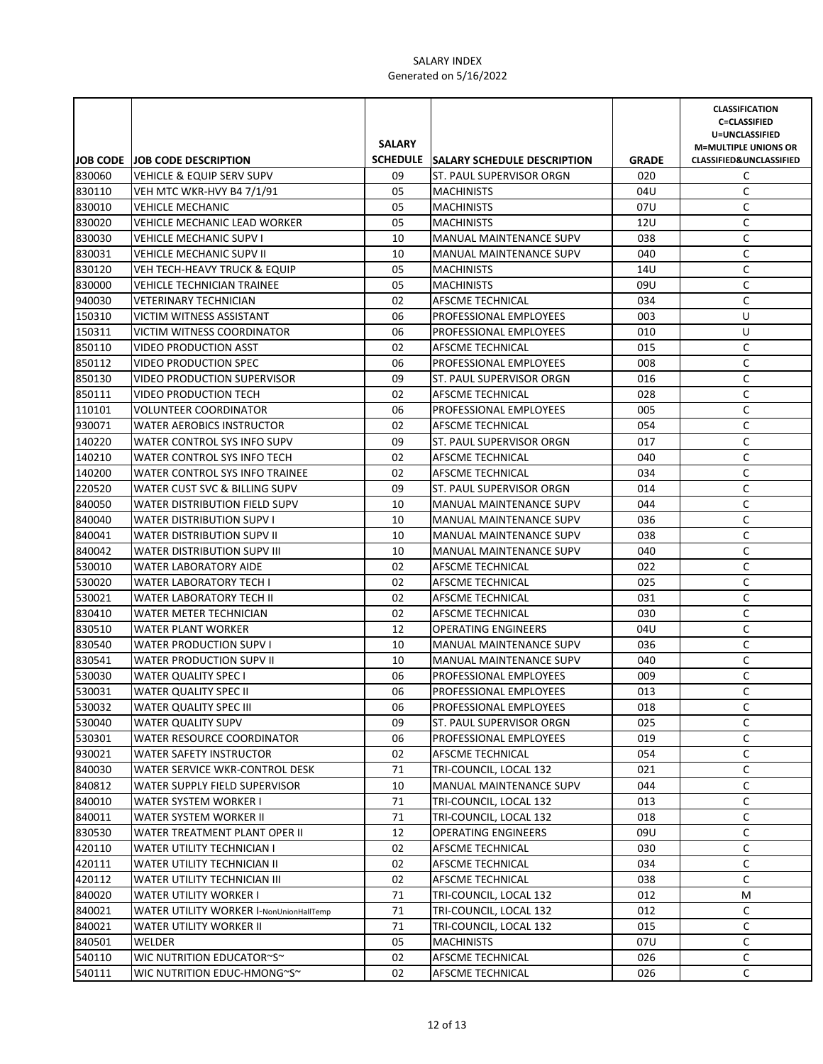|        |                                         | <b>SALARY</b> |                                      |              | <b>CLASSIFICATION</b><br><b>C=CLASSIFIED</b><br>U=UNCLASSIFIED<br><b>M=MULTIPLE UNIONS OR</b> |
|--------|-----------------------------------------|---------------|--------------------------------------|--------------|-----------------------------------------------------------------------------------------------|
|        | <b>JOB CODE JOB CODE DESCRIPTION</b>    |               | SCHEDULE SALARY SCHEDULE DESCRIPTION | <b>GRADE</b> | <b>CLASSIFIED&amp;UNCLASSIFIED</b>                                                            |
| 830060 | <b>VEHICLE &amp; EQUIP SERV SUPV</b>    | 09            | ST. PAUL SUPERVISOR ORGN             | 020          | C                                                                                             |
| 830110 | VEH MTC WKR-HVY B4 7/1/91               | 05            | <b>MACHINISTS</b>                    | 04U          | C                                                                                             |
| 830010 | <b>VEHICLE MECHANIC</b>                 | 05            | <b>MACHINISTS</b>                    | 07U          | C                                                                                             |
| 830020 | <b>VEHICLE MECHANIC LEAD WORKER</b>     | 05            | <b>MACHINISTS</b>                    | 12U          | C                                                                                             |
| 830030 | <b>VEHICLE MECHANIC SUPV I</b>          | 10            | MANUAL MAINTENANCE SUPV              | 038          | C                                                                                             |
| 830031 | <b>VEHICLE MECHANIC SUPV II</b>         | 10            | <b>MANUAL MAINTENANCE SUPV</b>       | 040          | C                                                                                             |
| 830120 | <b>VEH TECH-HEAVY TRUCK &amp; EQUIP</b> | 05            | <b>MACHINISTS</b>                    | 14U          | C                                                                                             |
| 830000 | VEHICLE TECHNICIAN TRAINEE              | 05            | <b>MACHINISTS</b>                    | 09U          | C                                                                                             |
| 940030 | <b>VETERINARY TECHNICIAN</b>            | 02            | AFSCME TECHNICAL                     | 034          | C                                                                                             |
| 150310 | VICTIM WITNESS ASSISTANT                | 06            | <b>PROFESSIONAL EMPLOYEES</b>        | 003          | U                                                                                             |
| 150311 | <b>VICTIM WITNESS COORDINATOR</b>       | 06            | <b>PROFESSIONAL EMPLOYEES</b>        | 010          | U                                                                                             |
| 850110 | VIDEO PRODUCTION ASST                   | 02            | AFSCME TECHNICAL                     | 015          | C                                                                                             |
| 850112 | <b>VIDEO PRODUCTION SPEC</b>            | 06            | PROFESSIONAL EMPLOYEES               | 008          | C                                                                                             |
| 850130 | <b>VIDEO PRODUCTION SUPERVISOR</b>      | 09            | ST. PAUL SUPERVISOR ORGN             | 016          | C                                                                                             |
| 850111 | <b>VIDEO PRODUCTION TECH</b>            | 02            | AFSCME TECHNICAL                     | 028          | C                                                                                             |
| 110101 | <b>VOLUNTEER COORDINATOR</b>            | 06            | PROFESSIONAL EMPLOYEES               | 005          | C                                                                                             |
| 930071 | <b>WATER AEROBICS INSTRUCTOR</b>        | 02            | AFSCME TECHNICAL                     | 054          | C                                                                                             |
| 140220 | WATER CONTROL SYS INFO SUPV             | 09            | ST. PAUL SUPERVISOR ORGN             | 017          | C                                                                                             |
| 140210 | WATER CONTROL SYS INFO TECH             | 02            | <b>AFSCME TECHNICAL</b>              | 040          | C                                                                                             |
| 140200 | WATER CONTROL SYS INFO TRAINEE          | 02            | AFSCME TECHNICAL                     | 034          | C                                                                                             |
| 220520 | WATER CUST SVC & BILLING SUPV           | 09            | ST. PAUL SUPERVISOR ORGN             | 014          | C                                                                                             |
| 840050 | WATER DISTRIBUTION FIELD SUPV           | 10            | <b>MANUAL MAINTENANCE SUPV</b>       | 044          | C                                                                                             |
| 840040 | <b>WATER DISTRIBUTION SUPV I</b>        | 10            | <b>MANUAL MAINTENANCE SUPV</b>       | 036          | C                                                                                             |
| 840041 | <b>WATER DISTRIBUTION SUPV II</b>       | 10            | <b>MANUAL MAINTENANCE SUPV</b>       | 038          | C                                                                                             |
| 840042 | WATER DISTRIBUTION SUPV III             | 10            | <b>MANUAL MAINTENANCE SUPV</b>       | 040          | C                                                                                             |
| 530010 | <b>WATER LABORATORY AIDE</b>            | 02            | AFSCME TECHNICAL                     | 022          | C                                                                                             |
| 530020 | <b>WATER LABORATORY TECH I</b>          | 02            | AFSCME TECHNICAL                     | 025          | C                                                                                             |
| 530021 | <b>WATER LABORATORY TECH II</b>         | 02            | AFSCME TECHNICAL                     | 031          | $\mathsf C$                                                                                   |
| 830410 | WATER METER TECHNICIAN                  | 02            | AFSCME TECHNICAL                     | 030          | $\mathsf C$                                                                                   |
| 830510 | WATER PLANT WORKER                      | 12            | <b>OPERATING ENGINEERS</b>           | 04U          | C                                                                                             |
| 830540 | <b>WATER PRODUCTION SUPV I</b>          | 10            | MANUAL MAINTENANCE SUPV              | 036          | $\mathsf C$                                                                                   |
| 830541 | WATER PRODUCTION SUPV II                | 10            | <b>MANUAL MAINTENANCE SUPV</b>       | 040          | C                                                                                             |
| 530030 | <b>WATER QUALITY SPEC I</b>             | 06            | PROFESSIONAL EMPLOYEES               | 009          | C                                                                                             |
| 530031 | <b>WATER QUALITY SPEC II</b>            | 06            | PROFESSIONAL EMPLOYEES               | 013          | C                                                                                             |
| 530032 | WATER QUALITY SPEC III                  | 06            | PROFESSIONAL EMPLOYEES               | 018          | C                                                                                             |
| 530040 | <b>WATER QUALITY SUPV</b>               | 09            | ST. PAUL SUPERVISOR ORGN             | 025          | C                                                                                             |
| 530301 | WATER RESOURCE COORDINATOR              | 06            | <b>PROFESSIONAL EMPLOYEES</b>        | 019          | С                                                                                             |
| 930021 | <b>WATER SAFETY INSTRUCTOR</b>          | 02            | AFSCME TECHNICAL                     | 054          | С                                                                                             |
| 840030 | WATER SERVICE WKR-CONTROL DESK          | 71            | TRI-COUNCIL, LOCAL 132               | 021          | C                                                                                             |
| 840812 | WATER SUPPLY FIELD SUPERVISOR           | 10            | MANUAL MAINTENANCE SUPV              | 044          | C                                                                                             |
| 840010 | WATER SYSTEM WORKER I                   | 71            | TRI-COUNCIL, LOCAL 132               | 013          | C                                                                                             |
| 840011 | WATER SYSTEM WORKER II                  | 71            | TRI-COUNCIL, LOCAL 132               | 018          | C                                                                                             |
| 830530 | WATER TREATMENT PLANT OPER II           | 12            | <b>OPERATING ENGINEERS</b>           | 09U          | С                                                                                             |
| 420110 | <b>WATER UTILITY TECHNICIAN I</b>       | 02            | AFSCME TECHNICAL                     | 030          | С                                                                                             |
| 420111 | WATER UTILITY TECHNICIAN II             | 02            | AFSCME TECHNICAL                     | 034          | С                                                                                             |
| 420112 | WATER UTILITY TECHNICIAN III            | 02            | AFSCME TECHNICAL                     | 038          | C                                                                                             |
| 840020 | WATER UTILITY WORKER I                  | 71            | TRI-COUNCIL, LOCAL 132               | 012          | М                                                                                             |
| 840021 | WATER UTILITY WORKER I-NonUnionHallTemp | 71            | TRI-COUNCIL, LOCAL 132               | 012          | C                                                                                             |
| 840021 | WATER UTILITY WORKER II                 | 71            | TRI-COUNCIL, LOCAL 132               | 015          | C                                                                                             |
| 840501 | WELDER                                  | 05            | <b>MACHINISTS</b>                    | 07U          | C                                                                                             |
| 540110 | WIC NUTRITION EDUCATOR~S~               | 02            | AFSCME TECHNICAL                     | 026          | C                                                                                             |
| 540111 | WIC NUTRITION EDUC-HMONG~S~             | 02            | AFSCME TECHNICAL                     | 026          | С                                                                                             |